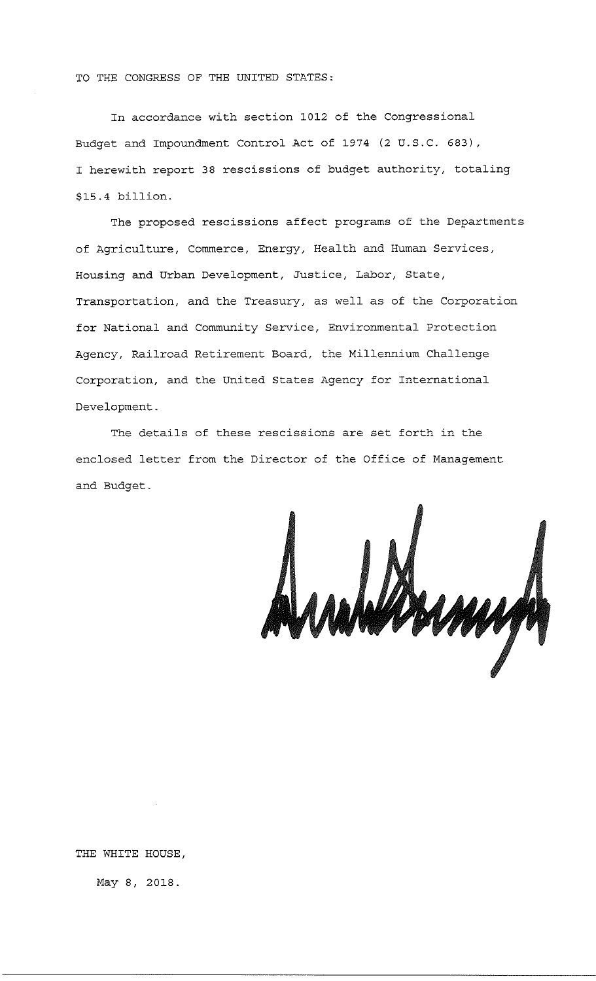TO THE CONGRESS OF THE UNITED STATES:

In accordance with section 1012 of the Congressional Budget and Impoundment Control Act of 1974 (2 U.S.C. 683), I herewith report 38 rescissions of budget authority, totaling \$15.4 billion.

The proposed rescissions affect programs of the Departments of Agriculture, Commerce, Energy, Health and Human Services, Housing and Urban Development, Justice, Labor, State, Transportation, and the Treasury, as well as of the Corporation for National and Community Service, Environmental Protection Agency, Railroad Retirement Board, the Millennium Challenge Corporation, and the United States Agency for International Development.

The details of these rescissions are set forth in the enclosed letter from the Director of the Office of Management and Budget.

Analdsmyn

THE WHITE HOUSE,

May 8, 2018.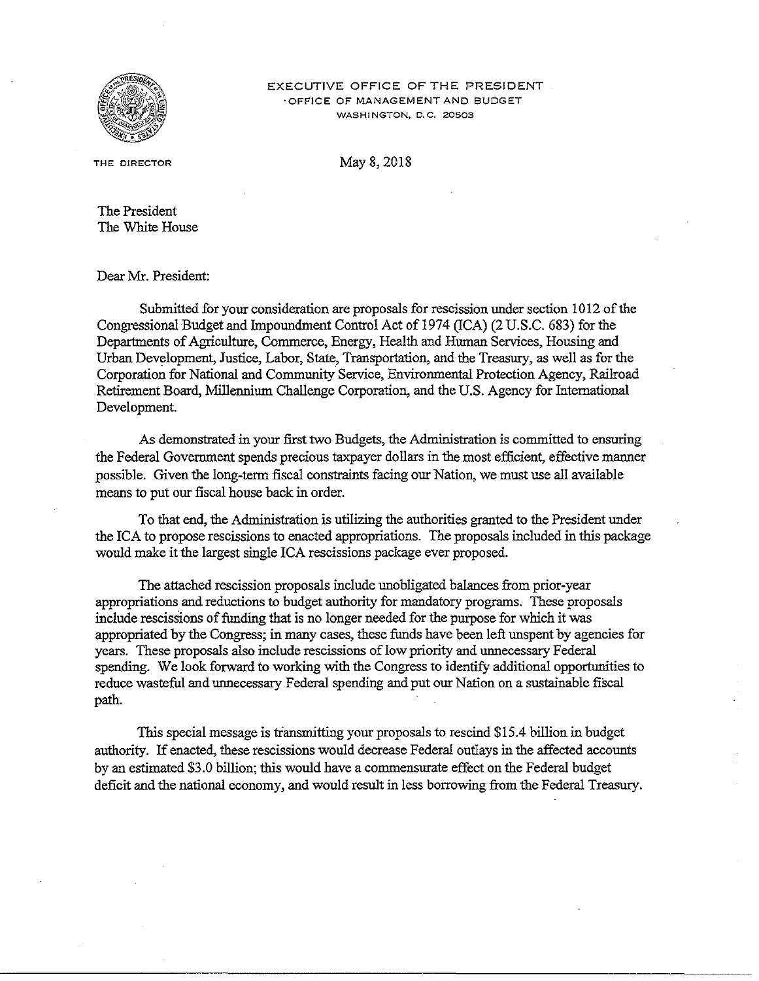

#### EXECUTIVE OFFICE OF THE PRESIDENT **·OFFICE OF MANAGEMENT ANO BUDGET WASHINGTON, D.C. 20503**

**THE DIRECTOR** 

May 8, 2018

The President The White House

Dear Mr. President:

Submitted for your consideration are proposals for rescission under section 1012 of the Congressional Budget and Impoundrnent Control Act of 1974 (ICA) (2 U.S.C. 683) for the Departments of Agriculture, Commerce, Energy, Health and Human Services, Housing and Urban Development, Justice, Labor, State, Transportation, and the Treasury, as well as for the Corporation for National and Community Service, Environmental Protection Agency, Railroad Retirement Board, Millennium Challenge Corporation, and the U.S. Agency for International Development.

As demonstrated in your first two Budgets, the Administration is committed to ensuring the Federal Government spends precious taxpayer dollars in the most efficient, effective manner possible. Given the long-term fiscal constraints facing our Nation, we must use all available means to put our fiscal house back in order.

To that end, the Administration is utilizing the authorities granted to the President under the ICA to propose rescissions to enacted appropriations. The proposals included in this package would make it the largest single ICA rescissions package ever proposed.

The attached rescission proposals include unobligated balances from prior-year appropriations and reductions to budget authority for mandatory programs. These proposals include rescissions of funding that is no longer needed for the purpose for which it was appropriated by the Congress; in many cases, these funds have been left unspent by agencies for years. These proposals also include rescissions of low priority and unnecessary Federal spending. We look forward to working with the Congress to identify additional opportunities to reduce wasteful and unnecessary Federal spending and put our Nation on a sustainable fiscal path.

This special message is transmitting your proposals to rescind \$15 .4 billion in budget authority. If enacted, these rescissions would decrease Federal outlays in the affected accounts by an estimated \$3. 0 billion; this would have a commensurate effect on the Federal budget deficit and the national economy, and would result in less borrowing from the Federal Treasury.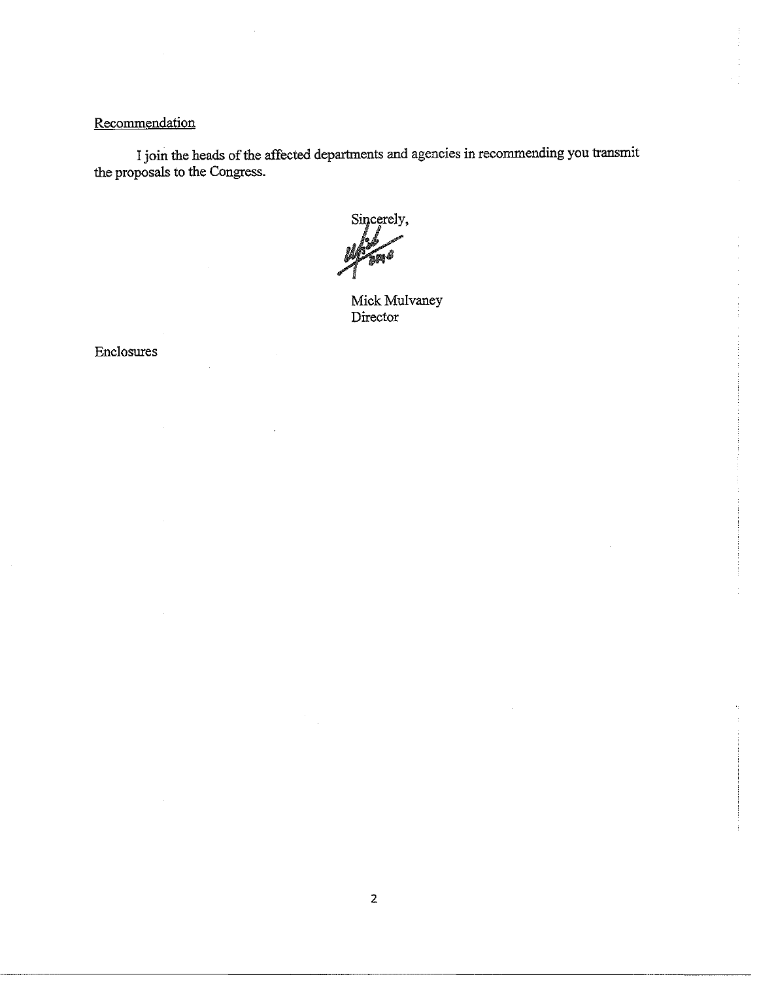# **Recommendation**

I join the heads of the affected departments and agencies in recommending you transmit the proposals to the Congress.

Sincerely,

Mick Mulvaney Director

Enclosures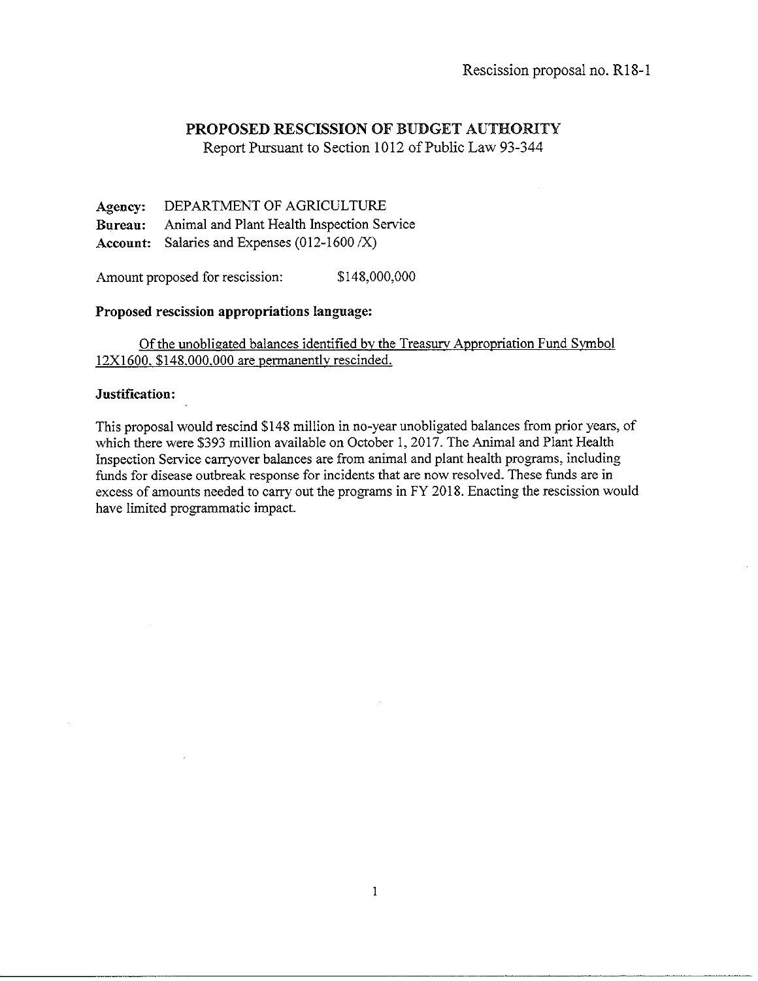Report Pursuant to Section 1012 of Public Law 93-344

**Agency:** DEPARTMENT OF AGRICULTURE **Bureau:** Animal and Plant Health Inspection Service **Account:** Salaries and Expenses (012-1600 /X)

Amount proposed for rescission:  $$148,000,000$ 

### **Proposed rescission appropriations language:**

Of the unobligated balances identified by the Treasurv Appropriation Fund Svmbol 12Xl600. \$148.000.000 are permanently rescinded.

#### **Justification:**

This proposal would rescind \$148 million in no-year unobligated balances from prior years, of which there were \$393 million available on October 1, 2017. The Animal and Plant Health Inspection Service carryover balances are from animal and plant health programs, including funds for disease outbreak response for incidents that are now resolved. These funds are in excess of amounts needed to carry out the programs in FY 2018. Enacting the rescission would have limited programmatic impact.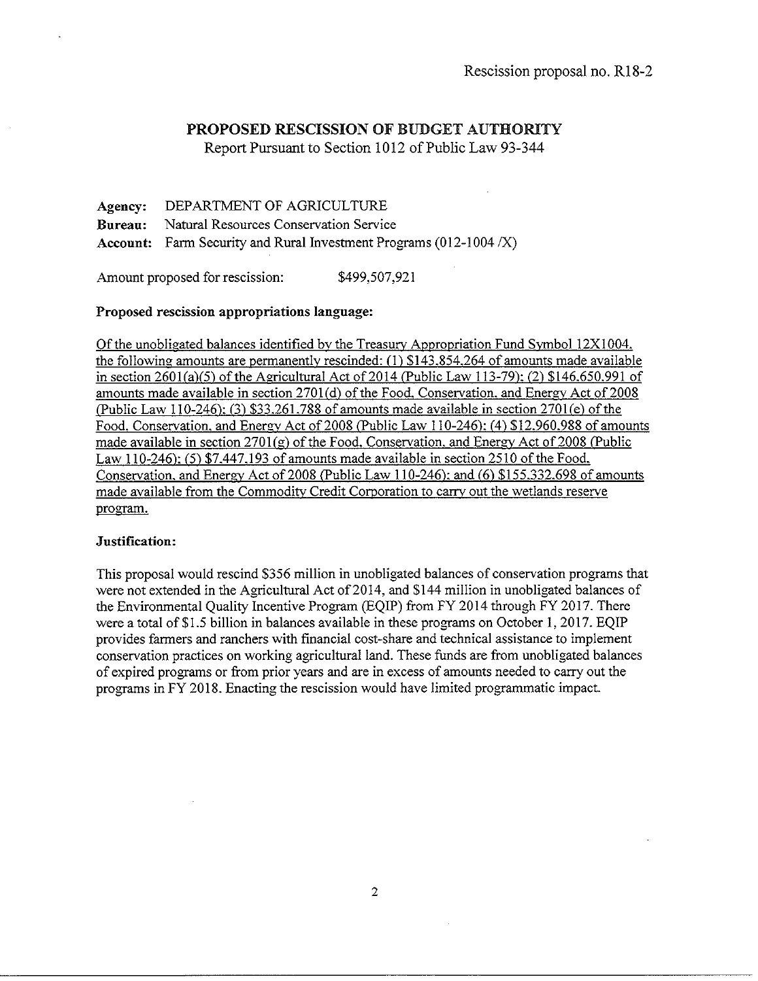Report Pursuant to Section 1012 of Public Law 93-344

Agency: Bureau: Account: Farm Security and Rural Investment Programs (012-1004 /X) DEPARTMENT OF AGRICULTURE Natural Resources Conservation Service

Amount proposed for rescission: \$499,507,921

### Proposed rescission appropriations language:

Of the unobligated balances identified by the Treasury Appropriation Fund Symbol 12Xl004. the following amounts are permanently rescinded: (I) \$143.854.264 of amounts made available in section  $2601(a)(5)$  of the Agricultural Act of  $2014$  (Public Law 113-79): (2) \$146.650.991 of amounts made available in section 2701(d) of the Food. Conservation, and Energy Act of 2008 (Public Law 110-246): (3) \$33.261.788 of amounts made available in section 2701(e) of the Food. Conservation. and Energy Act of 2008 (Public Law 110-246): (4) \$12.960.988 of amounts made available in section  $2701(g)$  of the Food. Conservation, and Energy Act of 2008 (Public Law 110-246): (5) \$7.447.193 of amounts made available in section 2510 of the Food. Conservation. and Energy Act of 2008 (Public Law 110-246): and (6) \$155.332.698 of amounts made available from the Commodity Credit Corporation to carry out the wetlands reserve program.

#### Justification:

This proposal would rescind \$356 million in unobligated balances of conservation programs that were not extended in the Agricultural Act of 2014, and \$144 million in unobligated balances of the Environmental Quality Incentive Program (EQIP) from FY 2014 through FY 2017. There were a total of \$1.5 billion in balances available in these programs on October 1, 2017. EQIP provides farmers and ranchers with financial cost-share and technical assistance to implement conservation practices on working agricultural land. These funds are from unobligated balances of expired programs or from prior years and are in excess of amounts needed to carry out the programs in FY 2018. Enacting the rescission would have limited programmatic impact.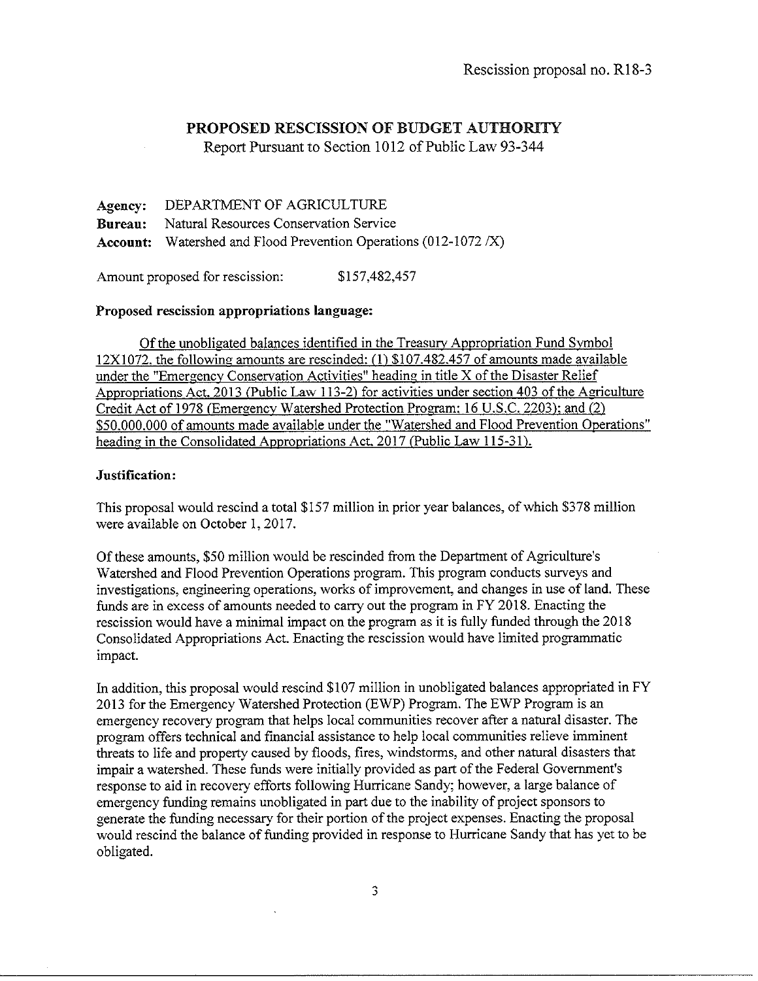Report Pursuant to Section 1012 of Public Law 93-344

Agency: DEPARTMENT OF AGRICULTURE Bureau: Natural Resources Conservation Service **Account:** Watershed and Flood Prevention Operations  $(012-1072 / X)$ 

Amount proposed for rescission: \$157,482,457

# Proposed rescission appropriations language:

Of the unobligated balances identified in the Treasury Appropriation Fund Symbol 12X1072. the following amounts are rescinded:(!) \$107.482.457 of amounts made available under the "Emergency Conservation Activities" heading in title X of the Disaster Relief Appropriations Act. 2013 (Public Law 113-2) for activities under section 403 of the Agriculture Credit Act of 1978 (Emergency Watershed Protection Program: 16 U.S.C. 2203): and (2) \$50.000.000 of amounts made available under the "Watershed and Flood Prevention Operations" heading in the Consolidated Appropriations Act. 2017 (Public Law 115-31).

# Justification:

This proposal would rescind a total \$157 million in prior year balances, of which \$3 78 million were available on October I, 2017.

Of these amounts, \$50 million would be rescinded from the Department of Agriculture's Watershed and Flood Prevention Operations program. This program conducts surveys and investigations, engineering operations, works of improvement, and changes in use of land. These funds are in excess of amounts needed to carry out the program in FY 2018. Enacting the rescission would have a minimal impact on the program as it is fully funded through the 2018 Consolidated Appropriations Act. Enacting the rescission would have limited programmatic impact.

In addition, this proposal would rescind \$107 million in unobligated balances appropriated in FY 2013 for the Emergency Watershed Protection (EWP) Program. The EWP Program is an emergency recovery program that helps local communities recover after a natural disaster. The program offers technical and financial assistance to help local communities relieve imminent threats to life and property caused by floods, fires, windstorms, and other natural disasters that impair a watershed. These funds were initially provided as part of the Federal Government's response to aid in recovery efforts following Hurricane Sandy; however, a large balance of emergency funding remains unobligated in part due to the inability of project sponsors to generate the funding necessary for their portion of the project expenses. Enacting the proposal would rescind the balance of funding provided in response to Hurricane Sandy that has yet to be obligated.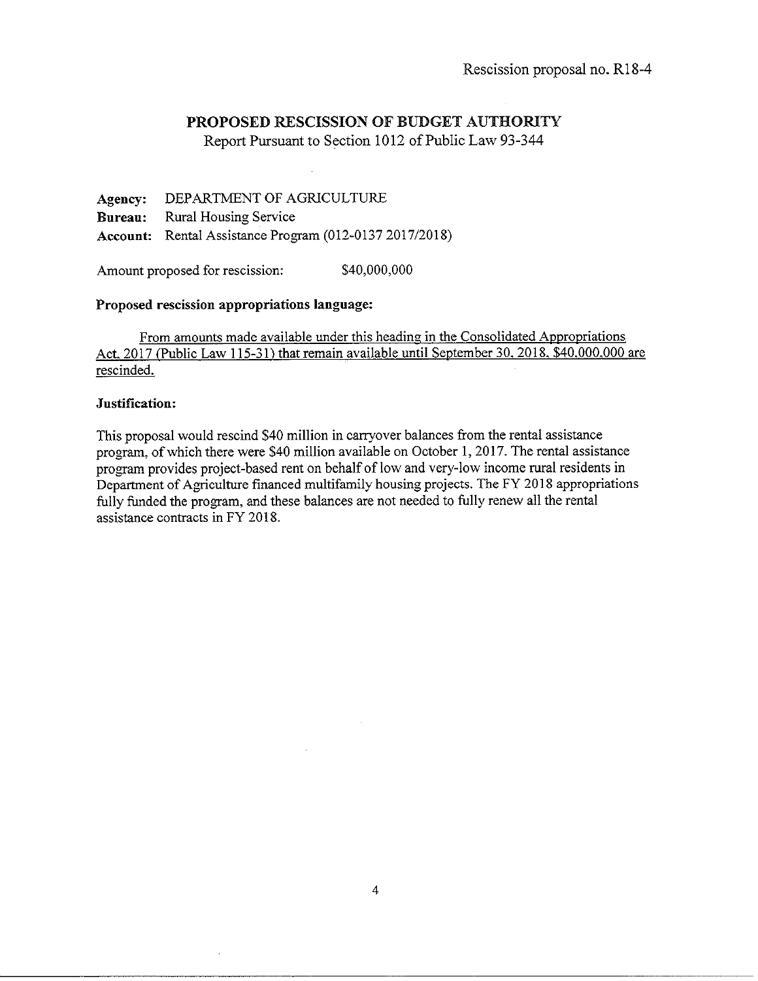Report Pursuant to Section 1012 of Public Law 93-344

**Agency:** DEPARTMENT OF AGRICULTURE **Bnrean:** Rural Housing Service **Account:** Rental Assistance Program (012-0137 2017/2018)

Amount proposed for rescission:  $$40,000,000$ 

### **Proposed rescission appropriations langnage:**

From amounts made available under this heading in the Consolidated Appropriations Act. 2017 (Public Law 115-31) that remain available until September 30. 2018. \$40.000.000 are rescinded.

### **Justification:**

This proposal would rescind \$40 million in carryover balances from the rental assistance program, of which there were \$40 million available on October I, 2017. The rental assistance program provides project-based rent on behalf of low and very-low income rural residents in Department of Agriculture financed multifamily housing projects. The FY 2018 appropriations fully funded the program, and these balances are not needed to fully renew all the rental assistance contracts in FY 2018.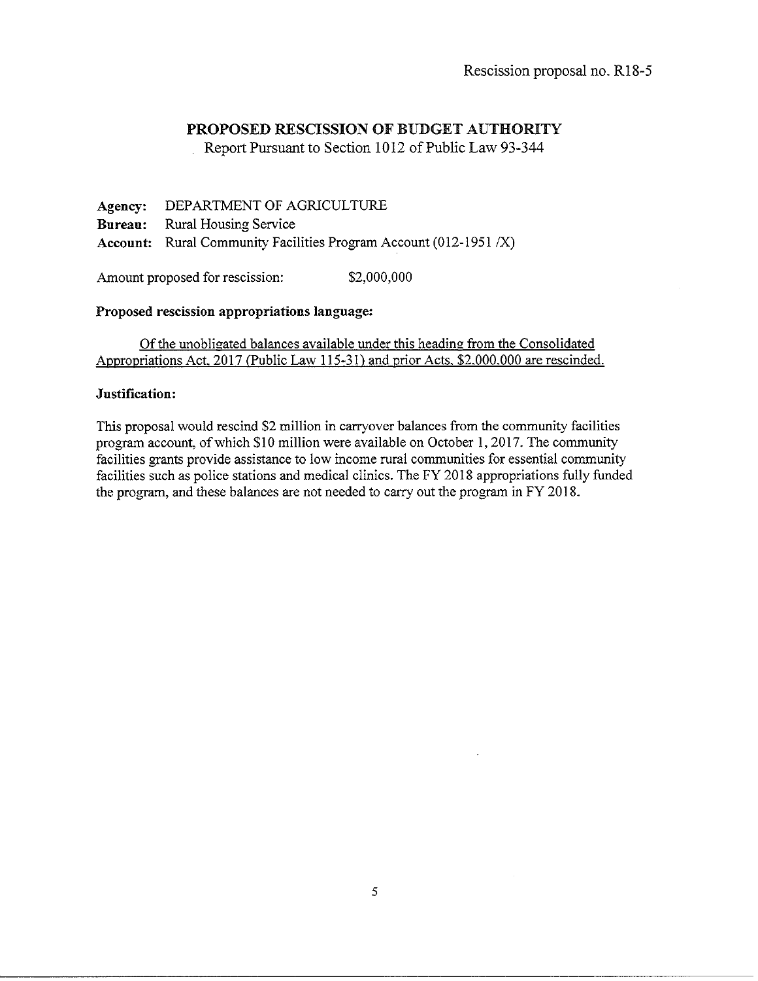Report Pursuant to Section 1012 of Public Law 93-344

**Agency:** DEPARTMENT OF AGRICULTURE **Bureau:** Rural Housing Service **Account:** Rural Community Facilities Program Account (012-1951 /X)

Amount proposed for rescission:  $$2,000,000$ 

### **Proposed rescission appropriations language:**

Of the unobligated balances available under this heading from the Consolidated Appropriations Act. 2017 (Public Law 115-31) and prior Acts. \$2.000.000 are rescinded.

### **Justification:**

This proposal would rescind \$2 million in carryover balances from the community facilities program account, of which \$10 million were available on October **1,** 2017. The community facilities grants provide assistance to low income rural communities for essential community facilities such as police stations and medical clinics. The FY 2018 appropriations fully funded the program, and these balances are not needed to carry out the program in FY 2018.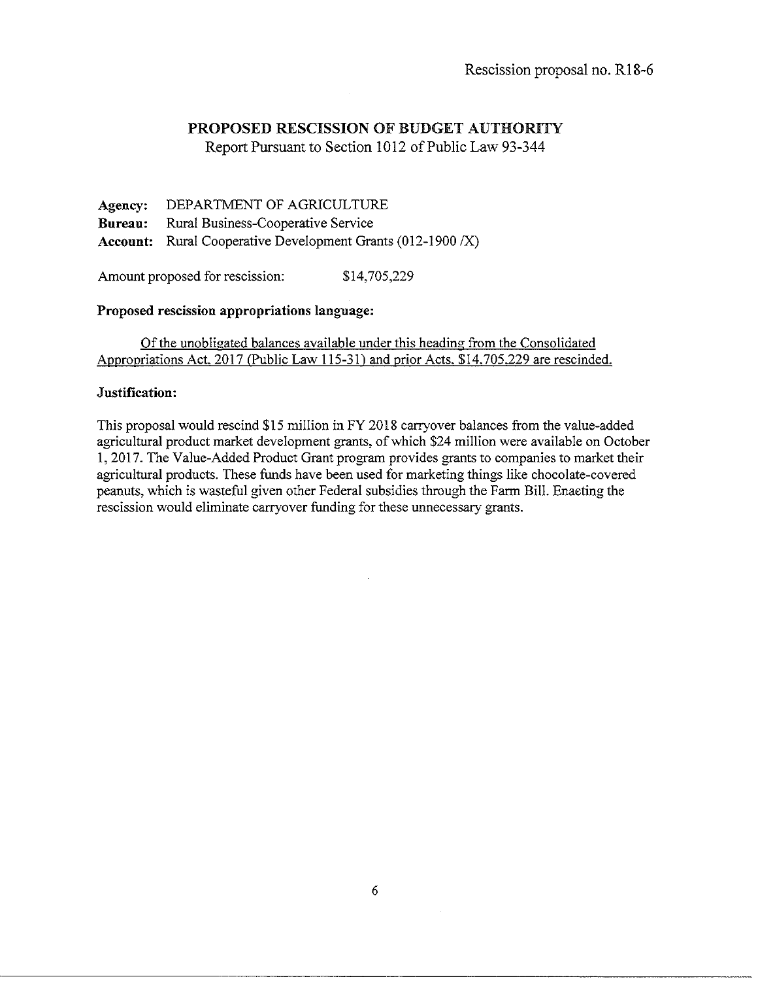Report Pursuant to Section 1012 of Public Law 93-344

Agency: DEPARTMENT OF AGRICULTURE **Bureau:** Rural Business-Cooperative Service Account: Rural Cooperative Development Grants (012-1900 *IX)* 

Amount proposed for rescission: \$14,705,229

### Proposed rescission appropriations language:

Of the unobligated balances available under this heading from the Consolidated Appropriations Act. 2017 (Public Law 115-31) and prior Acts. \$14.705.229 are rescinded.

### Justification:

This proposal would rescind \$15 million in FY 2018 carryover balances from the value-added agricultural product market development grants, of which \$24 million were available on October 1, 2017. The Value-Added Product Grant program provides grants to companies to market their agricultural products. These funds have been used for marketing things like chocolate-covered peanuts, which is wasteful given other Federal subsidies through the Farm Bill. Enaeting the rescission would eliminate carryover funding for these unnecessary grants.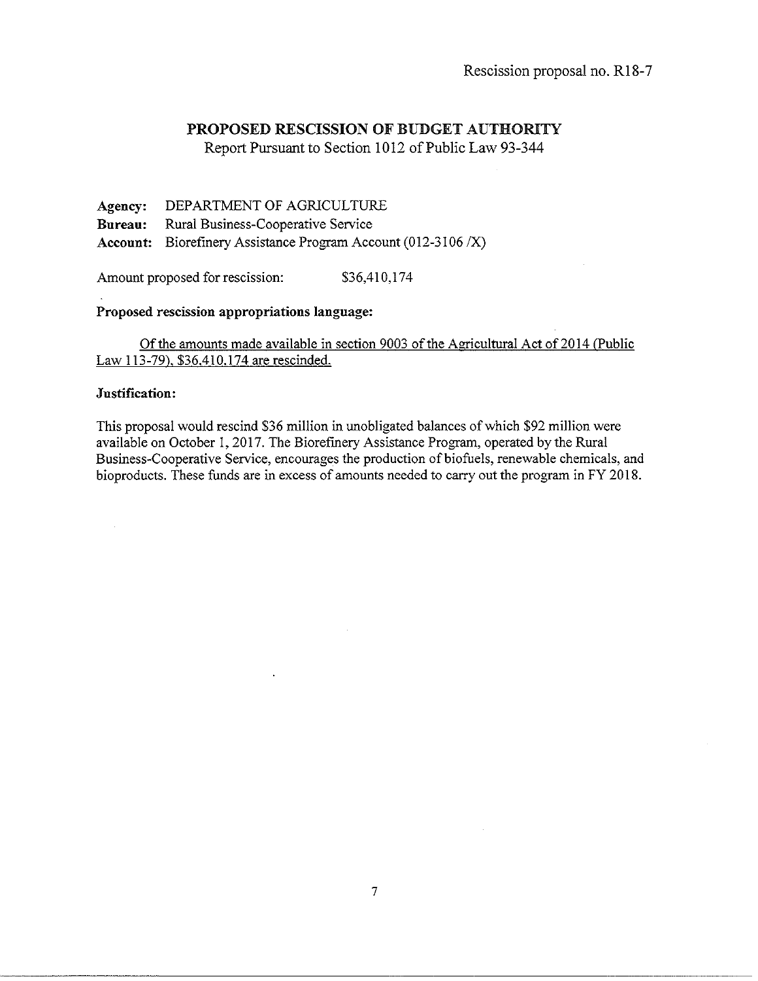Report Pursuant to Section 1012 of Public Law 93-344

Agency: Bureau: Account: Biorefinery Assistance Program Account (012-3106 *IX)*  DEPARTMENT OF AGRJCULTURE Rural Business-Cooperative Service

Amount proposed for rescission: \$36,410,174

#### Proposed rescission appropriations language:

Of the amounts made available in section 9003 of the Agricultural Act of 2014 (Public Law 113-79). \$36.410.174 are rescinded.

#### Justification:

This proposal would rescind \$36 million in unobligated balances of which \$92 million were available on October 1, 2017. The Biorefinery Assistance Program, operated by the Rural Business-Cooperative Service, encourages the production of biofuels, renewable chemicals, and bioproducts. These funds are in excess of amounts needed to carry out the program in FY 2018.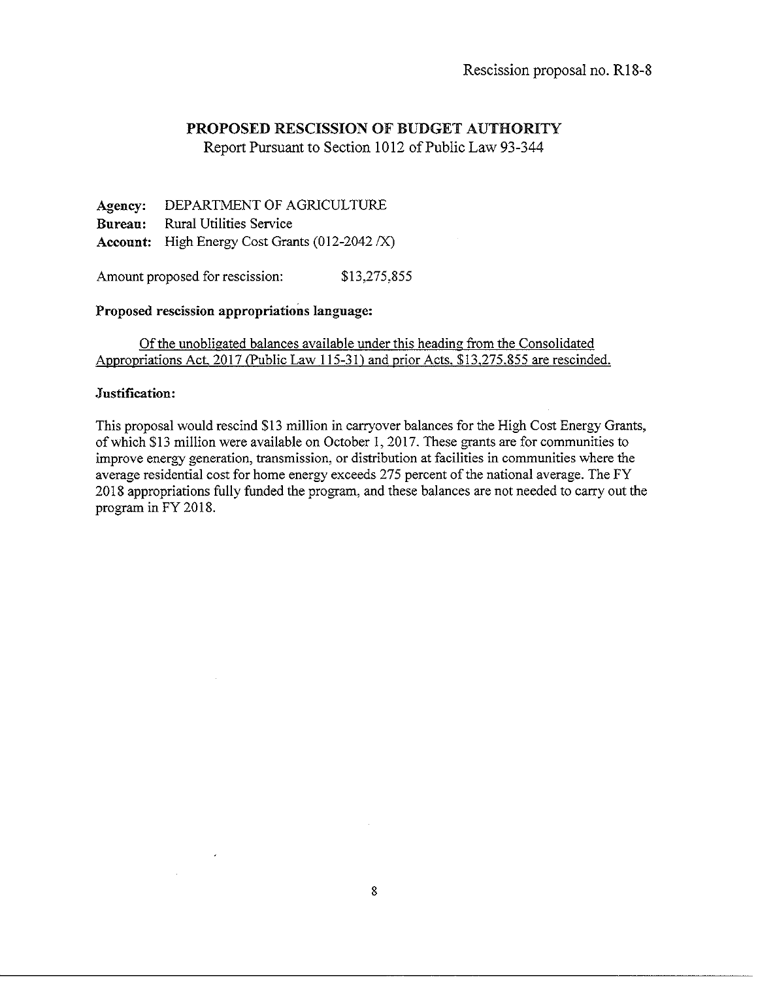Report Pursuant to Section 1012 of Public Law 93-344

Agency: DEPARTMENT OF AGRICULTURE Bureau: Rural Utilities Service Account: High Energy Cost Grants (012-2042 /X)

Amount proposed for rescission: \$13,275,855

### Proposed rescission appropriations language:

## Of the unobligated balances available under this heading from the Consolidated Appropriations Act. 2017 (Public Law 115-31) and prior Acts. \$13.275.855 are rescinded.

### Justification:

This proposal would rescind \$13 million in carryover balances for the High Cost Energy Grants, of which \$13 million were available on October 1, 2017. These grants are for communities to improve energy generation, transmission, or distribution at facilities in communities where the average residential cost for home energy exceeds 275 percent of the national average. The FY 2018 appropriations fully funded the program, and these balances are not needed to carry out the program in FY 2018.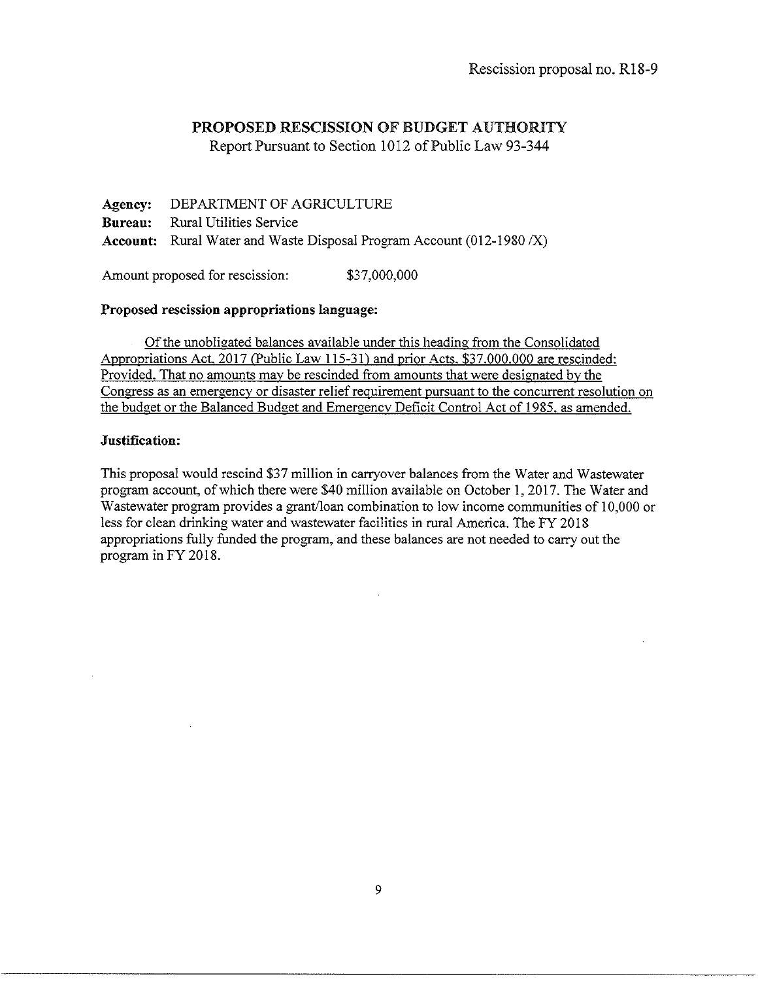Report Pursuant to Section 1012 of Public Law 93-344

Agency: DEPARTMENT OF AGRICULTURE Bureau: Rural Utilities Service Account: Rural Water and Waste Disposal Program Account (012-1980 *IX)* 

Amount proposed for rescission: \$37,000,000

# Proposed rescission appropriations Jangnage:

Of the unobligated balances available under this heading from the Consolidated Appropriations Act. 2017 (Public Law 115-31) and prior Acts. \$37.000.000 are rescinded: Provided. That no amounts may be rescinded from amounts that were designated by the Congress as an emergency or disaster relief requirement pursuant to the concurrent resolution on the budget or the Balanced Budget and Emergencv Deficit Control Act of 1985. as amended.

# Jnstification:

This proposal would rescind \$37 million in carryover balances from the Water and Wastewater program account, of which there were \$40 million available on October 1, 2017. The Water and Wastewater program provides a grant/loan combination to low income communities of 10,000 or less for clean drinking water and wastewater facilities in rural America. The FY 2018 appropriations fully funded the program, and these balances are not needed to carry out the program in FY 2018.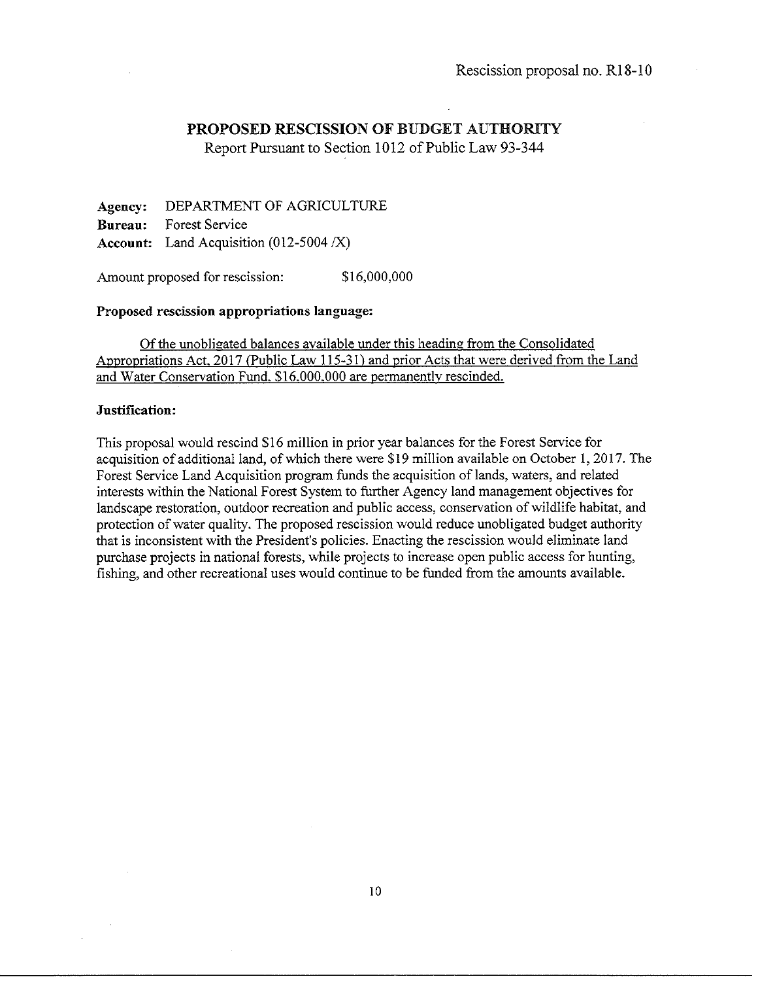Report Pursuant to Section 1012 of Public Law 93-344

Agency: Bureau: Account: Land Acquisition  $(012-5004 / X)$ DEPARTMENT OF AGRICULTURE Forest Service

Amount proposed for rescission:  $$16,000,000$ 

#### Proposed rescission appropriations language:

Of the unobligated balances available under this heading from the Consolidated Appropriations Act. 2017 (Public Law 115-31) and prior Acts that were derived from the Land and Water Conservation Fund. \$16.000.000 are permanently rescinded.

### Justification:

This proposal would rescind \$16 million in prior year balances for the Forest Service for acquisition of additional land, of which there were \$19 million available on October 1, 2017. The Forest Service Land Acquisition program funds the acquisition of lands, waters, and related interests within the National Forest System to further Agency land management objectives for landscape restoration, outdoor recreation and public access, conservation of wildlife habitat, and protection of water quality. The proposed rescission would reduce unobligated budget authority that is inconsistent with the President's policies. Enacting the rescission would eliminate land purchase projects in national forests, while projects to increase open public access for hunting, fishing, and other recreational uses would continue to be funded from the amounts available.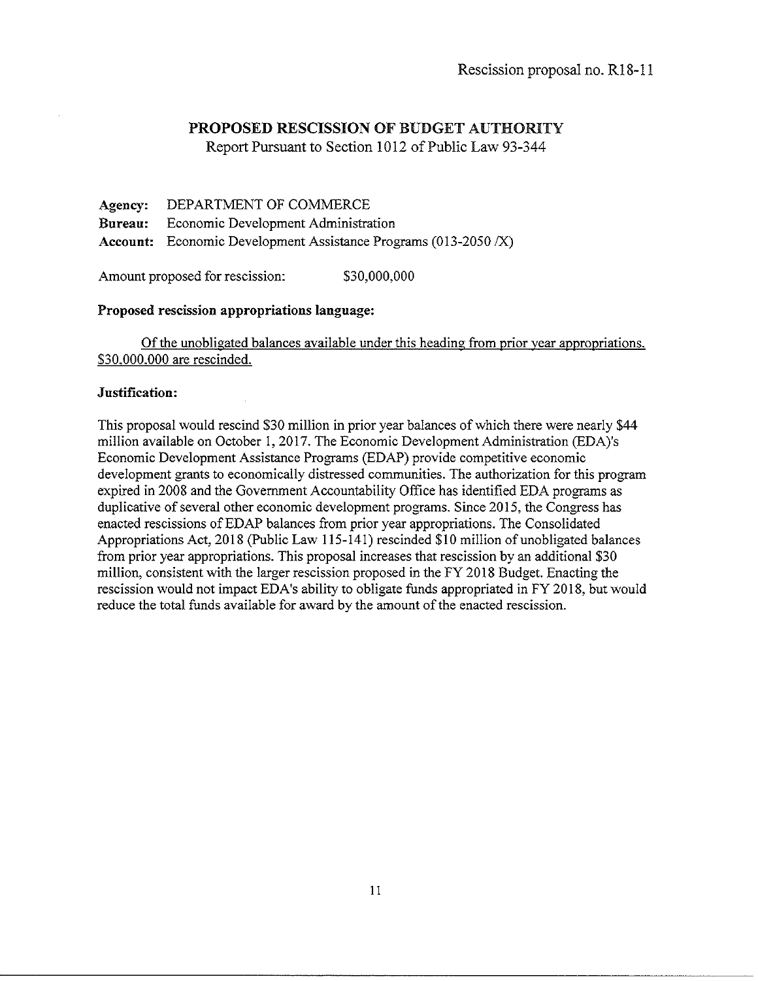Report Pursuant to Section 1012 of Public Law 93-344

**Agency: Bureau: Account:**  Economic Development Assistance Programs (013-2050 *IX)*  DEPARTMENT OF COMMERCE Economic Development Administration

Amount proposed for rescission: \$30,000,000

### **Proposed rescission appropriations language:**

Of the unobligated balances available under this heading from prior year appropriations. \$30.000.000 are rescinded.

#### **Justification:**

This proposal would rescind \$30 million in prior year balances of which there were nearly \$44 million available on October 1, 2017. The Economic Development Administration (EDA)'s Economic Development Assistance Programs (EDAP) provide competitive economic development grants to economically distressed communities. The authorization for this program expired in 2008 and the Government Accountability Office has identified EDA programs as duplicative of several other economic development programs. Since 2015, the Congress has enacted rescissions ofEDAP balances from prior year appropriations. The Consolidated Appropriations Act, 2018 (Public Law 115-141) rescinded \$10 million of unobligated balances from prior year appropriations. This proposal increases that rescission by an additional \$30 million, consistent with the larger rescission proposed in the FY 2018 Budget. Enacting the rescission would not impact EDA's ability to obligate funds appropriated in FY 2018, but would reduce the total funds available for award by the amount of the enacted rescission.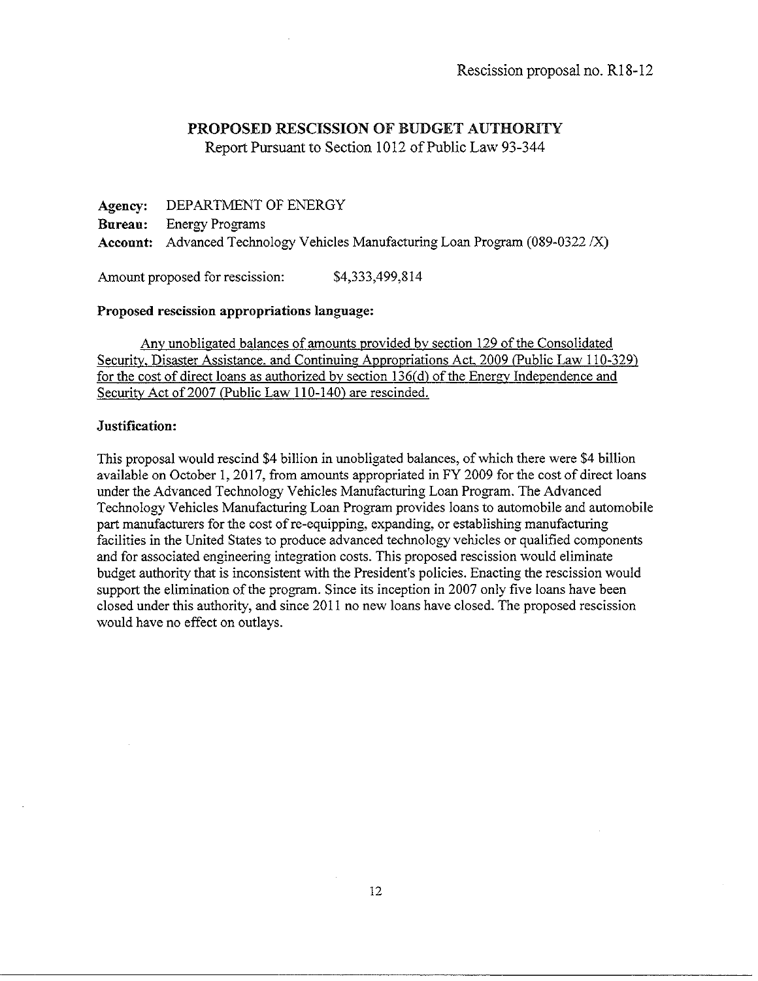Report Pursuant to Section 1012 of Public Law 93-344

**Agency: Bureau:**  DEPARTMENT OF ENERGY Energy Programs **Account:** Advanced Technology Vehicles Manufacturing Loan Program (089-0322 IX)

Amount proposed for rescission:  $$4,333,499,814$ 

#### **Proposed rescission appropriations language:**

Any unobligated balances of amounts provided by section 129 of the Consolidated Security. Disaster Assistance. and Continuing Appropriations Act. 2009 (Public Law 110-329) for the cost of direct loans as authorized by section 136(d) of the Energy Independence and Security Act of 2007 (Public Law 110-140) are rescinded.

#### **Justification:**

This proposal would rescind \$4 billion in unobligated balances, of which there were \$4 billion available on October I, 2017, from amounts appropriated in FY 2009 for the cost of direct loans under the Advanced Technology Vehicles Manufacturing Loan Program. The Advanced Technology Vehicles Manufacturing Loan Program provides loans to automobile and automobile part manufacturers for the cost of re-equipping, expanding, or establishing manufacturing facilities in the United States to produce advanced technology vehicles or qualified components and for associated engineering integration costs. This proposed rescission would eliminate budget authority that is inconsistent with the President's policies. Enacting the rescission would support the elimination of the program. Since its inception in 2007 only five loans have been closed under this authority, and since 2011 no new loans have closed. The proposed rescission would have no effect on outlays.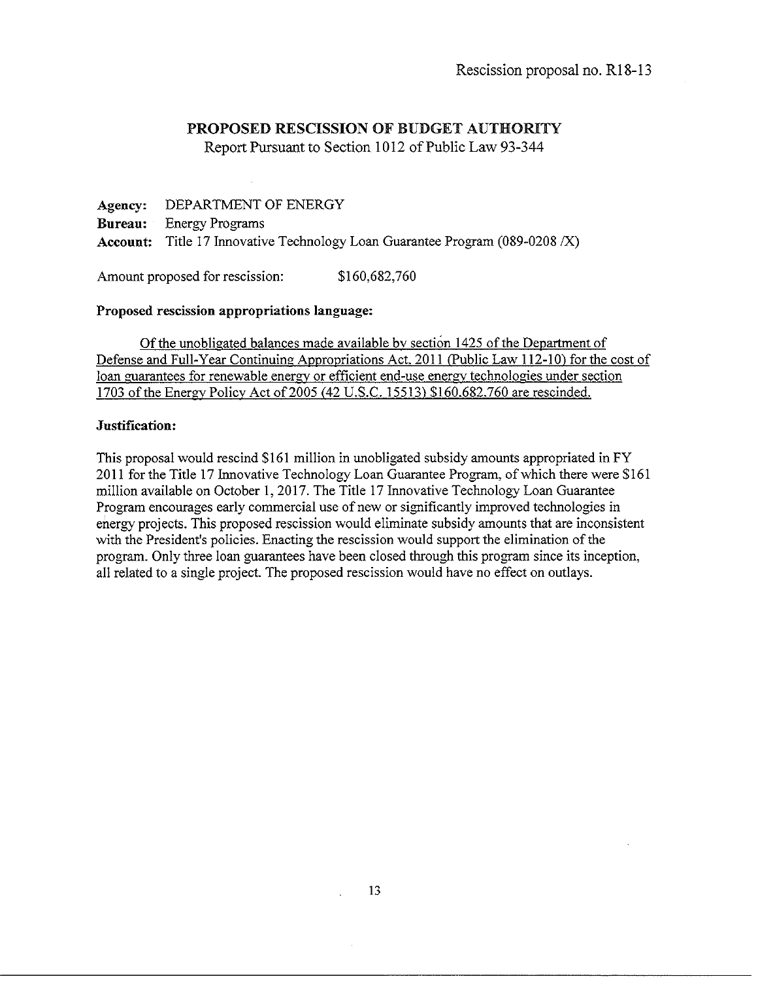Report Pursuant to Section 1012 of Public Law 93-344

**Agency:** DEPARTMENT OF ENERGY **Bureau:** Energy Programs **Account:** Title 17 Innovative Technology Loan Guarantee Program (089-0208 *IX)* 

Amount proposed for rescission: \$160,682,760

## **Proposed rescission appropriations language:**

Of the unobligated balances made available bv section 1425 of the Department of Defense and Full-Year Continuing Appropriations Act. 2011 (Public Law 112-10) for the cost of loan guarantees for renewable energy or efficient end-use energy technologies under section 1703 of the Energy Policy Act of2005 (42 U.S.C. 15513) \$160.682.760 are rescinded.

### **Justification:**

This proposal would rescind \$161 million in unobligated subsidy amounts appropriated in FY 2011 for the Title 17 Innovative Technology Loan Guarantee Program, of which there were \$161 million available on October **1,** 2017. The Title 17 Innovative Technology Loan Guarantee Program encourages early commercial use of new or significantly improved technologies in energy projects. This proposed rescission would eliminate subsidy amounts that are inconsistent with the President's policies. Enacting the rescission would support the elimination of the program. Only three loan guarantees have been closed through this program since its inception, all related to a single project. The proposed rescission would have no effect on outlays.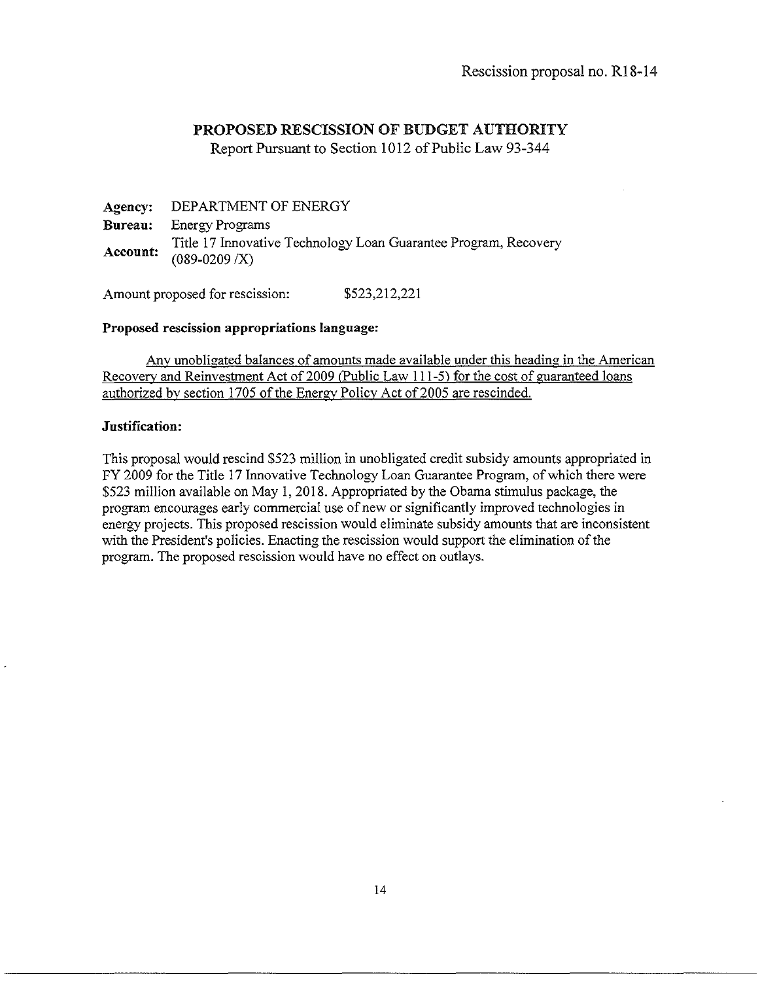Report Pursuant to Section 1012 of Public Law 93-344

Agency: Bureau: Account: DEPARTMENT OF ENERGY Energy Programs Title 17 Innovative Technology Loan Guarantee Program, Recovery  $(089-0209/X)$ 

Amount proposed for rescission: \$523,212,221

### Proposed rescission appropriations language:

Any unobligated balances of amounts made available under this heading in the American Recovery and Reinvestment Act of 2009 (Public Law 111-5) for the cost of guaranteed loans authorized by section 1705 of the Energy Policy Act of 2005 are rescinded.

# Justification:

This proposal would rescind \$523 million in unobligated credit subsidy amounts appropriated in FY 2009 for the Title 17 Innovative Technology Loan Guarantee Program, of which there were \$523 million available on May 1, 2018. Appropriated by the Obama stimulus package, the program encourages early commercial use of new or significantly improved technologies in energy projects. This proposed rescission would eliminate subsidy amounts that are inconsistent with the President's policies. Enacting the rescission would support the elimination of the program. The proposed rescission would have no effect on outlays.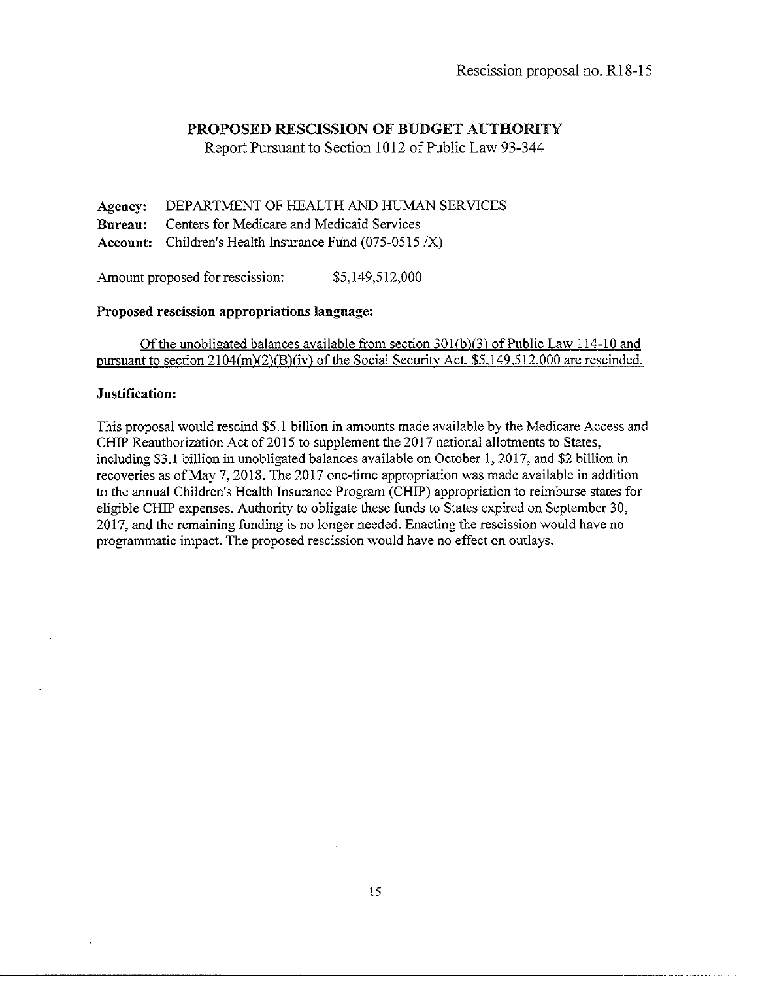Report Pursuant to Section 1012 of Public Law 93-344

**Agency: Bureau: Account:**  Children's Health Insurance Fund (075-0515 *IX)*  DEPARTMENT OF HEALTH AND HUMAN SERVICES Centers for Medicare and Medicaid Services

Amount proposed for rescission:  $$5,149,512,000$ 

#### **Proposed rescission appropriations language:**

Of the unobligated balances available from section 30l(b)(3) of Public Law 114-10 and pursuant to section 2104(m)(2)(B)(iv) of the Social Security Act. \$5.149.512.000 are rescinded.

#### **Justification:**

This proposal would rescind \$5. I billion in amounts made available by the Medicare Access and CHIP Reauthorization Act of 2015 to supplement the 2017 national allotments to States, including \$3.1 billion in unobligated balances available on October I, 2017, and \$2 billion in recoveries as of May 7, 2018. The 2017 one-time appropriation was made available in addition to the annual Children's Health Insurance Program (CHIP) appropriation to reimburse states for eligible CHIP expenses. Authority to obligate these funds to States expired on September 30, 2017, and the remaining funding is no longer needed. Enacting the rescission would have no programmatic impact. The proposed rescission would have no effect on outlays.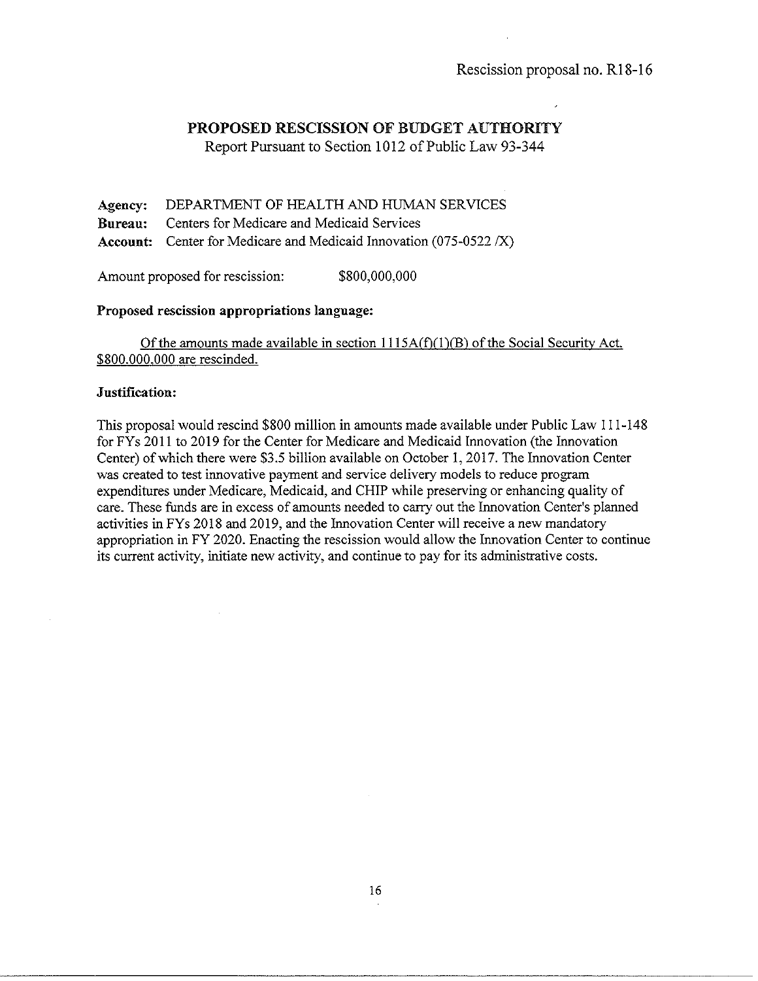Report Pursuant to Section 1012 of Public Law 93-344

Agency: DEPARTMENT OF HEALTH AND HUMAN SERVICES Bureau: Centers for Medicare and Medicaid Services Account: Center for Medicare and Medicaid Innovation (075-0522 /X)

Amount proposed for rescission: \$800,000,000

#### Proposed rescission appropriations language:

Of the amounts made available in section  $1115A(f)(1)(B)$  of the Social Security Act. \$800.000.000 are rescinded.

### Justification:

This proposal would rescind \$800 million in amounts made available under Public Law 111-148 for FY s 2011 to 2019 for the Center for Medicare and Medicaid Innovation (the Innovation Center) of which there were \$3.5 billion available on October I, 2017. The Innovation Center was created to test innovative payment and service delivery models to reduce program expenditures under Medicare, Medicaid, and CHIP while preserving or enhancing quality of care. These funds are in excess of amounts needed to carry out the Innovation Center's planned activities in FYs 2018 and 2019, and the Innovation Center will receive a new mandatory appropriation in FY 2020. Enacting the rescission would allow the Innovation Center to continue its current activity, initiate new activity, and continue to pay for its administrative costs.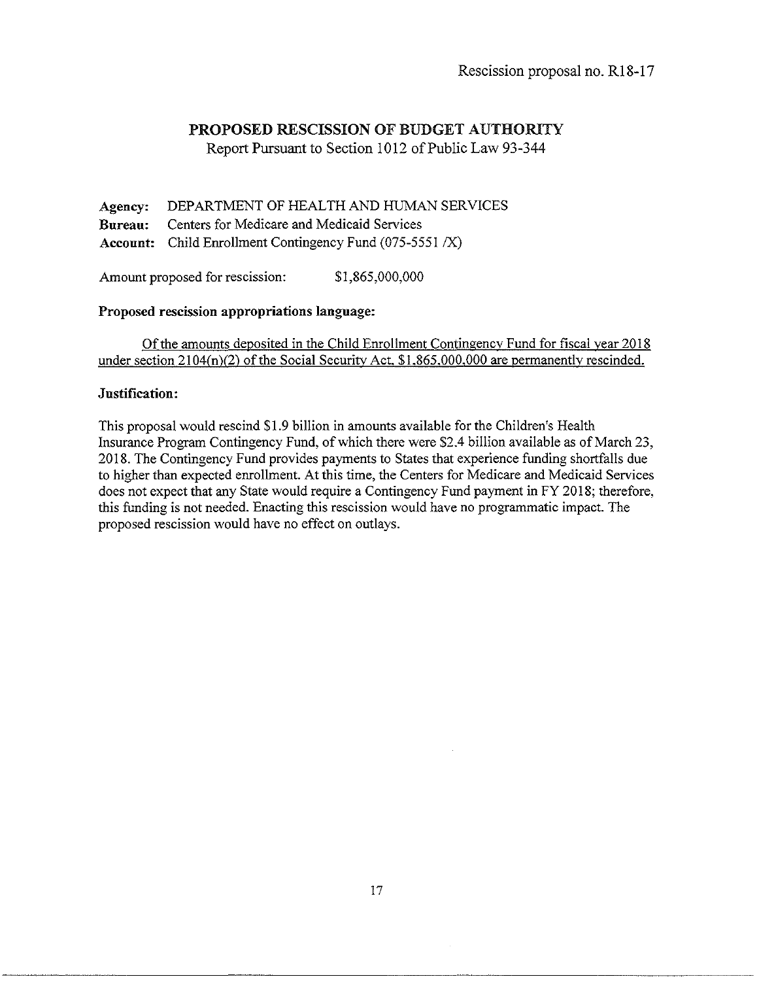Report Pursuant to Section 1012 of Public Law 93-344

Agency: DEPARTMENT OF HEALTH AND HUMAN SERVICES Bureau: Centers for Medicare and Medicaid Services Account: Child Enrollment Contingency Fund (075-5551 /X)

Amount proposed for rescission:  $$1,865,000,000$ 

### Proposed rescission appropriations language:

Of the amounts deposited in the Child Enrollment Contingencv Fund for fiscal year 2018 under section 2104(n)(2) of the Social Security Act. \$1.865.000.000 are permanentlv rescinded.

### Justification:

This proposal would rescind \$1.9 billion in amounts available for the Children's Health Insurance Program Contingency Fund, of which there were \$2.4 billion available as of March 23, 2018. The Contingency Fund provides payments to States that experience funding shortfalls due to higher than expected enrollment. At this time, the Centers for Medicare and Medicaid Services does not expect that any State would require a Contingency Fund payment in FY 2018; therefore, this funding is not needed. Enacting this rescission would have no programmatic impact. The proposed rescission would have no effect on outlays.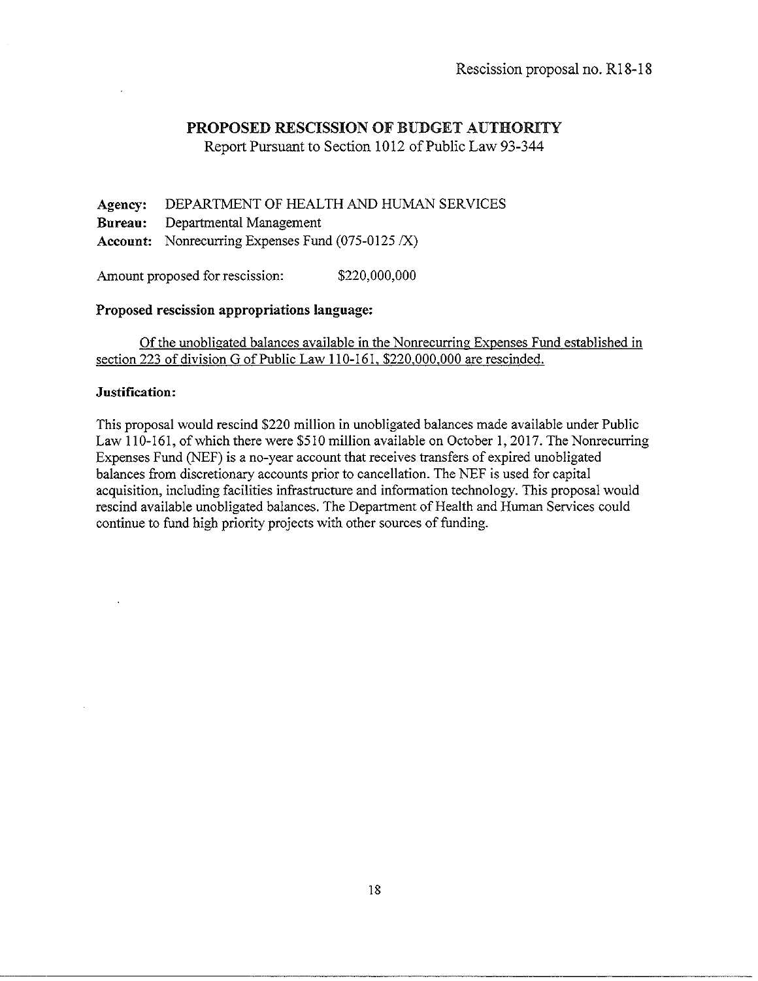Report Pursuant to Section 1012 of Public Law 93-344

Agency: DEPARTMENT OF HEALTH AND HUMAN SERVICES Bureau: Departmental Management Account: Nonrecurring Expenses Fund (075-0125 /X)

Amount proposed for rescission: \$220,000,000

### Proposed rescission appropriations language:

Of the unobligated balances available in the Nonrecurring Expenses Fund established in section 223 of division G of Public Law 110-161. \$220.000.000 are rescinded.

### Justification:

This proposal would rescind \$220 million in unobligated balances made available under Public Law 110-161, of which there were \$510 million available on October 1, 2017. The Nonrecurring Expenses Fund (NEF) is a no-year account that receives transfers of expired unobligated balances from discretionary accounts prior to cancellation. The NEF is used for capital acquisition, including facilities infrastructure and information technology. This proposal would rescind available unobligated balances. The Department of Health and Human Services could continue to fund high priority projects with other sources of funding.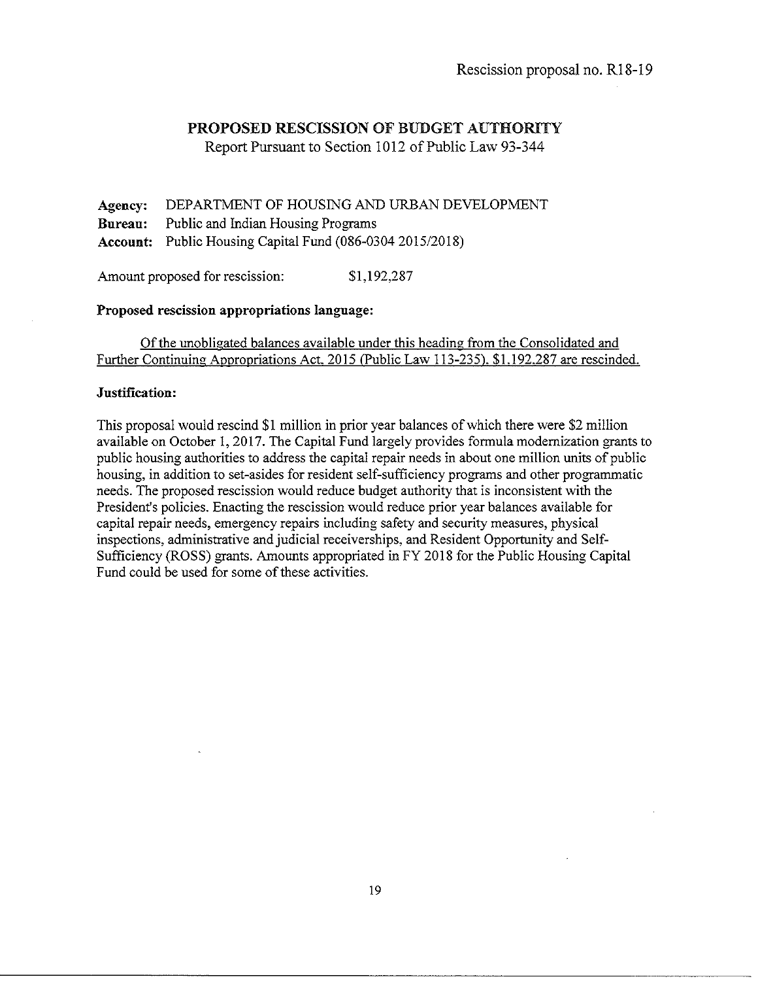Report Pursuant to Section 1012 of Public Law 93-344

**Agency:** DEPARTMENT OF HOUSING AND URBAN DEVELOPMENT **Bureau:** Public and Indian Housing Programs **Account:** Public Housing Capital Fund (086-0304 2015/2018)

Amount proposed for rescission: \$1,192,287

#### **Proposed rescission appropriations language:**

Of the unobligated balances available under this heading from the Consolidated and Further Continuing Appropriations Act. 2015 (Public Law 113-235). \$1.192.287 are rescinded.

#### **Justification:**

This proposal would rescind **\$1** million in prior year balances of which there were \$2 million available on October 1, 2017. The Capital Fund largely provides formula modernization grants to public housing authorities to address the capital repair needs in about one million units of public housing, in addition to set-asides for resident self-sufficiency programs and other programmatic needs. The proposed rescission would reduce budget authority that is inconsistent with the President's policies. Enacting the rescission would reduce prior year balances available for capital repair needs, emergency repairs including safety and security measures, physical inspections, administrative and judicial receiverships, and Resident Opportunity and Self-Sufficiency (ROSS) grants. Amounts appropriated in FY 2018 forthe Public Housing Capital Fund could be used for some of these activities.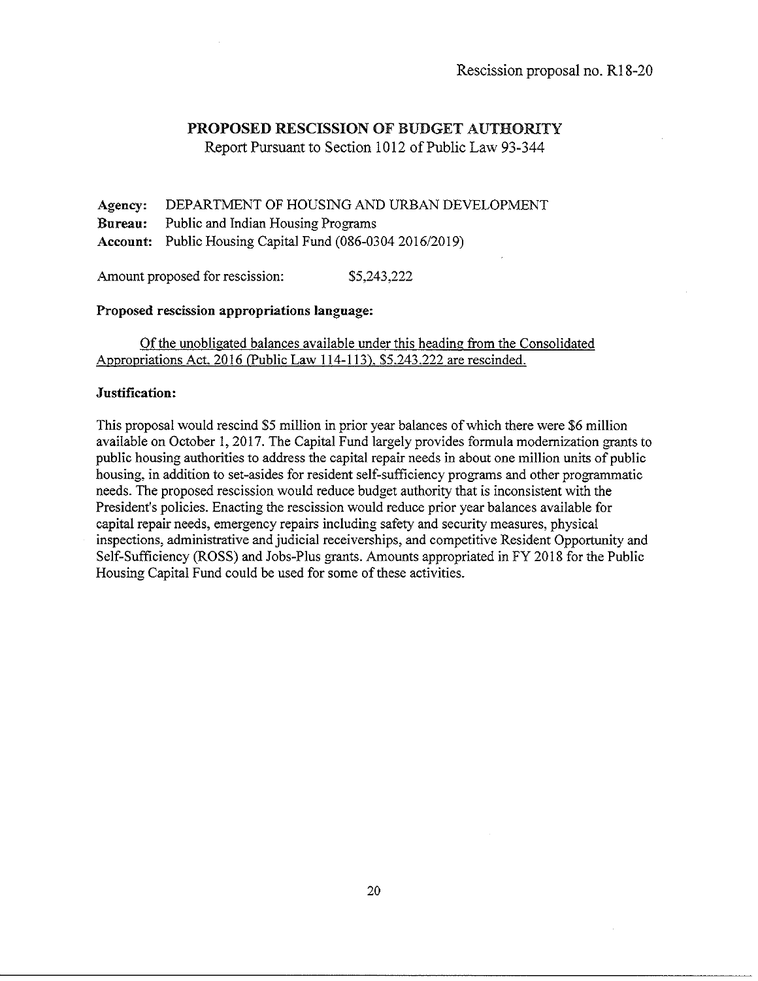Report Pursuant to Section 1012 of Public Law 93-344

Agency: Bureau: Account: Public Housing Capital Fund (086-03042016/2019) DEPARTMENT OF HOUSING AND URBAN DEVELOPMENT Public and Indian Housing Programs

Amount proposed for rescission: \$5,243,222

#### Proposed rescission appropriations language:

Of the unobligated balances available under this heading from the Consolidated Appropriations Act. 2016 (Public Law 114-113). \$5.243.222 are rescinded.

#### Justification:

This proposal would rescind \$5 million in prior year balances of which there were \$6 million available on October I, 2017. The Capital Fund largely provides formula modernization grants to public housing authorities to address the capital repair needs in about one million units of public housing, in addition to set-asides for resident self-sufficiency programs and other programmatic needs. The proposed rescission would reduce budget authority that is inconsistent with the President's policies. Enacting the rescission would reduce prior year balances available for capital repair needs, emergency repairs including safety and security measures, physical inspections, administrative and judicial receiverships, and competitive Resident Opportunity and Self-Sufficiency (ROSS) and Jobs-Plus grants. Amounts appropriated in FY 2018 for the Public Housing Capital Fund could be used for some of these activities.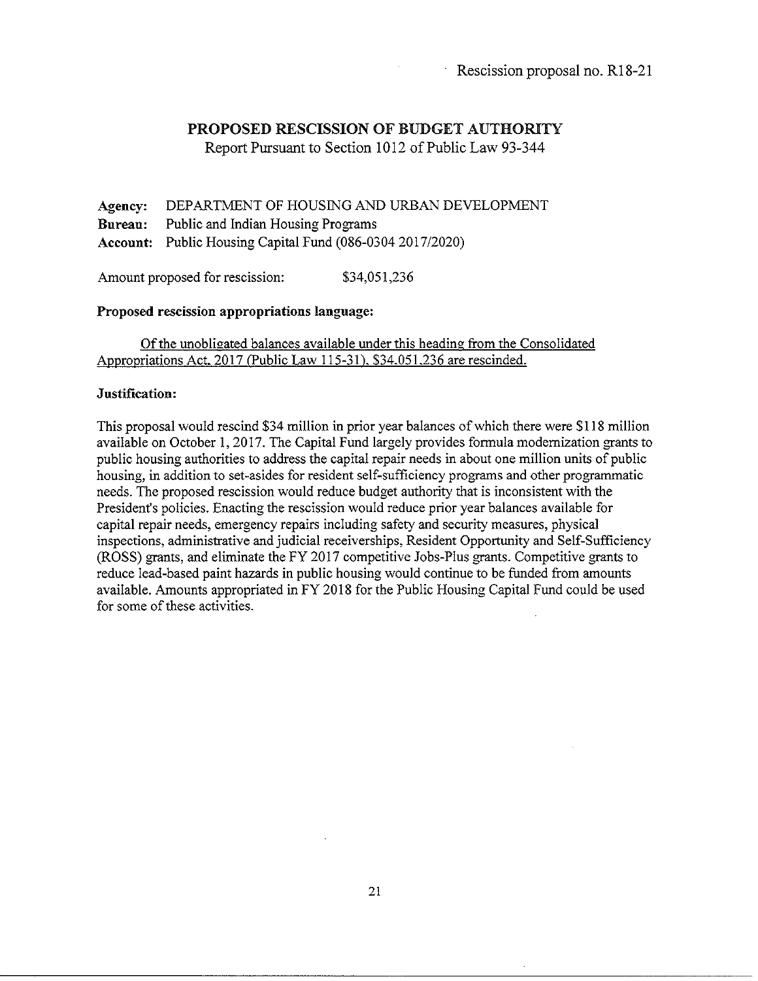Report Pursuant to Section 1012 of Public Law 93-344

Agency: DEPARTMENT OF HOUSING AND URBAN DEVELOPMENT Bureau: Public and Indian Housing Programs Account: Public Housing Capital Fund (086-0304 2017/2020)

Amount proposed for rescission: \$34,051,236

#### Proposed rescission appropriations language:

Of the unobligated balances available under this heading from the Consolidated Appropriations Act. 2017 (Public Law 115-31). \$34.051.236 are rescinded.

#### Justification:

This proposal would rescind \$34 million in prior year balances of which there were \$118 million available on October 1, 2017. The Capital Fund largely provides formula modernization grants to public housing authorities to address the capital repair needs in about one million units of public housing, in addition to set-asides for resident self-sufficiency programs and other programmatic needs. The proposed rescission would reduce budget authority that is inconsistent with the President's policies. Enacting the rescission would reduce prior year balances available for capital repair needs, emergency repairs including safety and security measures, physical inspections, administrative and judicial receiverships, Resident Opportunity and Self-Sufficiency (ROSS) grants, and eliminate the FY 2017 competitive Jobs-Plus grants. Competitive grants to reduce lead-based paint hazards in public housing would continue to be funded from amounts available. Amounts appropriated in FY 2018 for the Public Housing Capital Fund could be used for some of these activities.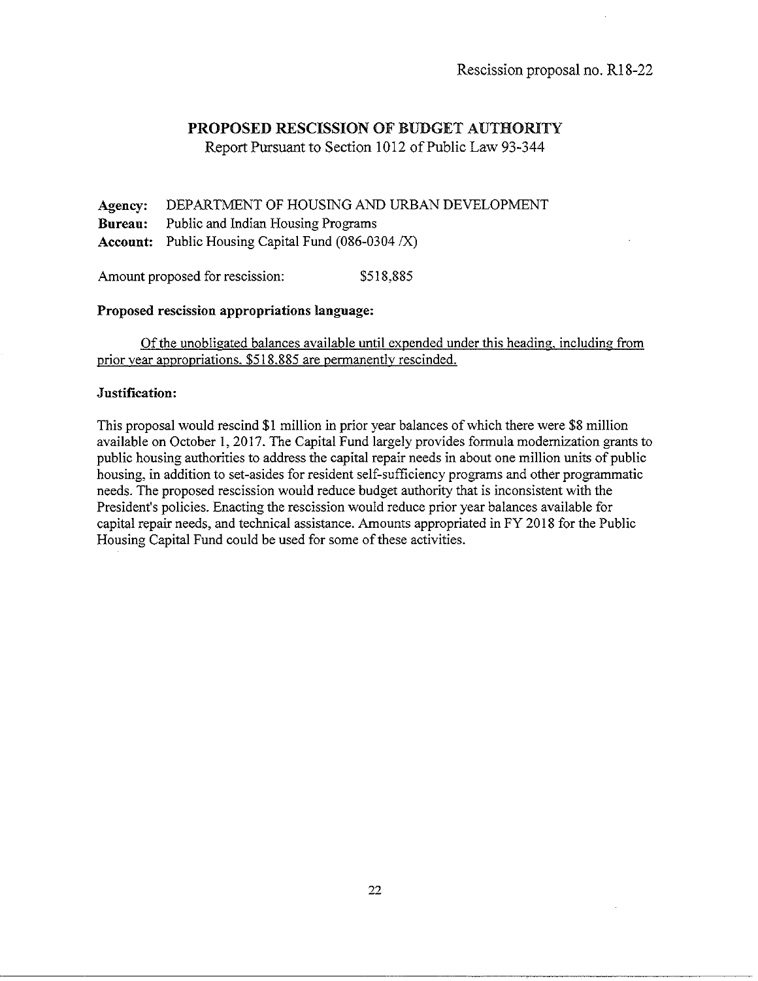Report Pursuant to Section 1012 of Public Law 93-344

Agency: DEPARTMENT OF HOUSING AND URBAN DEVELOPMENT Bureau: Public and Indian Housing Programs Account: Public Housing Capital Fund (086-0304 *IX)* 

Amount proposed for rescission: \$518,885

#### Proposed rescission appropriations language:

Of the unobligated balances available until expended under this heading. including from prior vear appropriations. \$518.885 are permanently rescinded.

### Justification:

This proposal would rescind \$1 million in prior year balances of which there were \$8 million available on October 1, 2017. The Capital Fund largely provides formula modernization grants to public housing authorities to address the capital repair needs in about one million units of public housing, in addition to set-asides for resident self-sufficiency programs and other programmatic needs. The proposed rescission would reduce budget authority that is inconsistent with the President's policies. Enacting the rescission would reduce prior year balances available for capital repair needs, and technical assistance. Amounts appropriated in FY 2018 for the Public Housing Capital Fund could be used for some of these activities.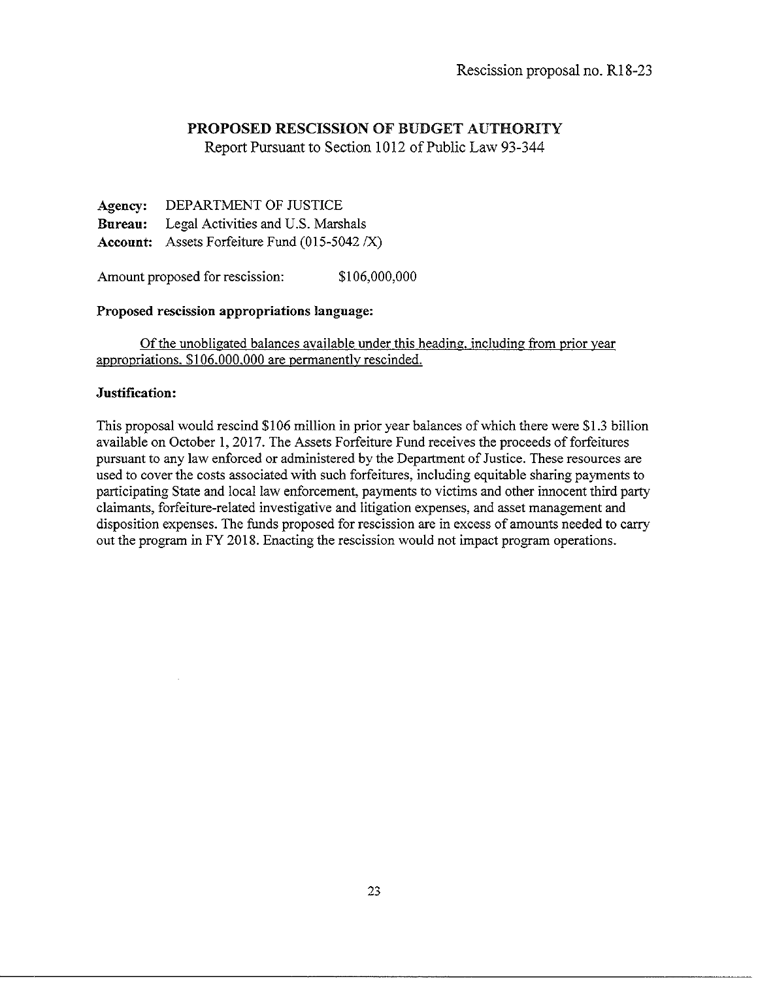Report Pursuant to Section 1012 of Public Law 93-344

**Agency: Bureau: Account:**  Assets Forfeiture Fund (015-5042 *IX)*  DEPARTMENT OF JUSTICE Legal Activities and U.S. Marshals

Amount proposed for rescission:  $$106,000,000$ 

### **Proposed rescission appropriations language:**

Of the unobligated balances available under this heading. including from prior year appropriations. \$106.000.000 are permanently rescinded.

### **Justification:**

This proposal would rescind \$106 million in prior year balances of which there were \$1.3 billion available on October **1,** 2017. The Assets Forfeiture Fund receives the proceeds of forfeitures pursuant to any law enforced or administered by the Department of Justice. These resources are used to cover the costs associated with such forfeitures, including equitable sharing payments to participating State and local law enforcement, payments to victims and other innocent third party claimants, forfeiture-related investigative and litigation expenses, and asset management and disposition expenses. The funds proposed for rescission are in excess of amounts needed to carry out the program in FY 2018. Enacting the rescission would not impact program operations.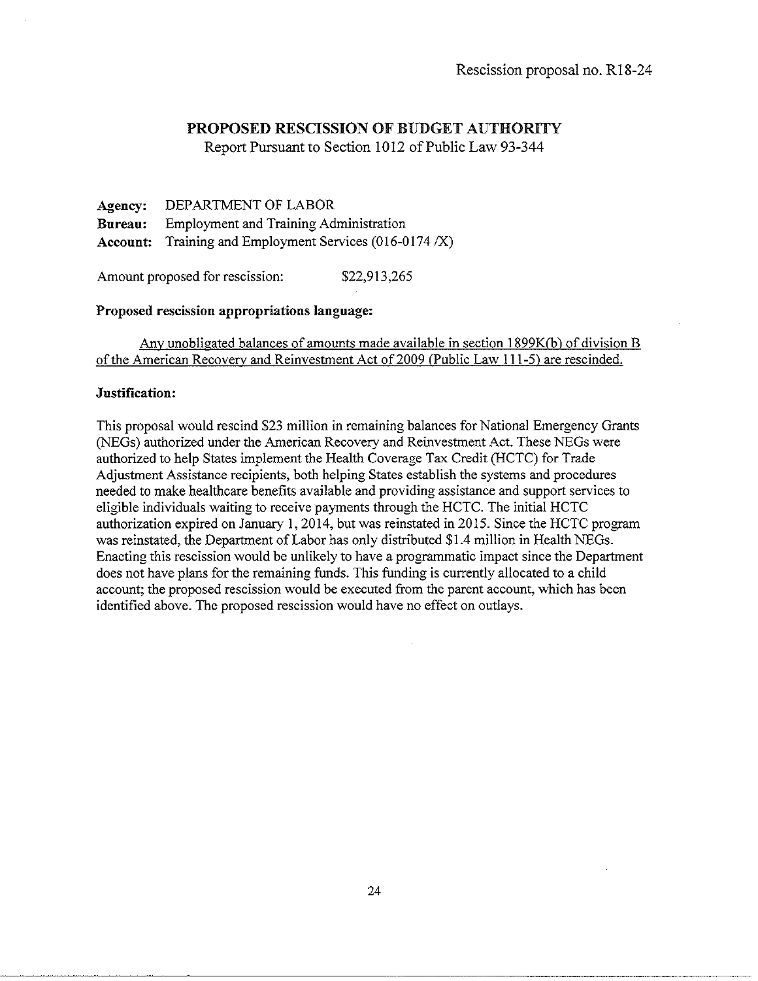Report Pursuant to Section 1012 of Public Law 93-344

**Agency:** DEPARTMENT OF LABOR **Bureau:** Employment and Training Administration **Account:** Training and Employment Services (016-0174 *IX)* 

Amount proposed for rescission: \$22,913,265

### **Proposed rescission appropriations language:**

Any unobligated balances of amounts made available in section **l** 899K(b) of division B of the American Recovery and Reinvestment Act of2009 (Public Law 111-5) are rescinded.

#### **Justification:**

This proposal would rescind \$23 million in remaining balances for National Emergency Grants (NEGs) authorized under the American Recovery and Reinvestment Act. These NEGs were authorized to help States implement the Health Coverage Tax Credit (HCTC) for Trade Adjustment Assistance recipients, both helping States establish the systems and procedures needed to make healthcare benefits available and providing assistance and support services to eligible individuals waiting to receive payments through the HCTC. The initial HCTC authorization expired on January **1,** 2014, but was reinstated in 2015. Since the HCTC program was reinstated, the Department of Labor has only distributed \$1.4 million in Health NEGs. Enacting this rescission would be unlikely to have a programmatic impact since the Department does not have plans for the remaining funds. This funding is currently allocated to a child account; the proposed rescission would be executed from the parent account, which has been identified above. The proposed rescission would have no effect on outlays.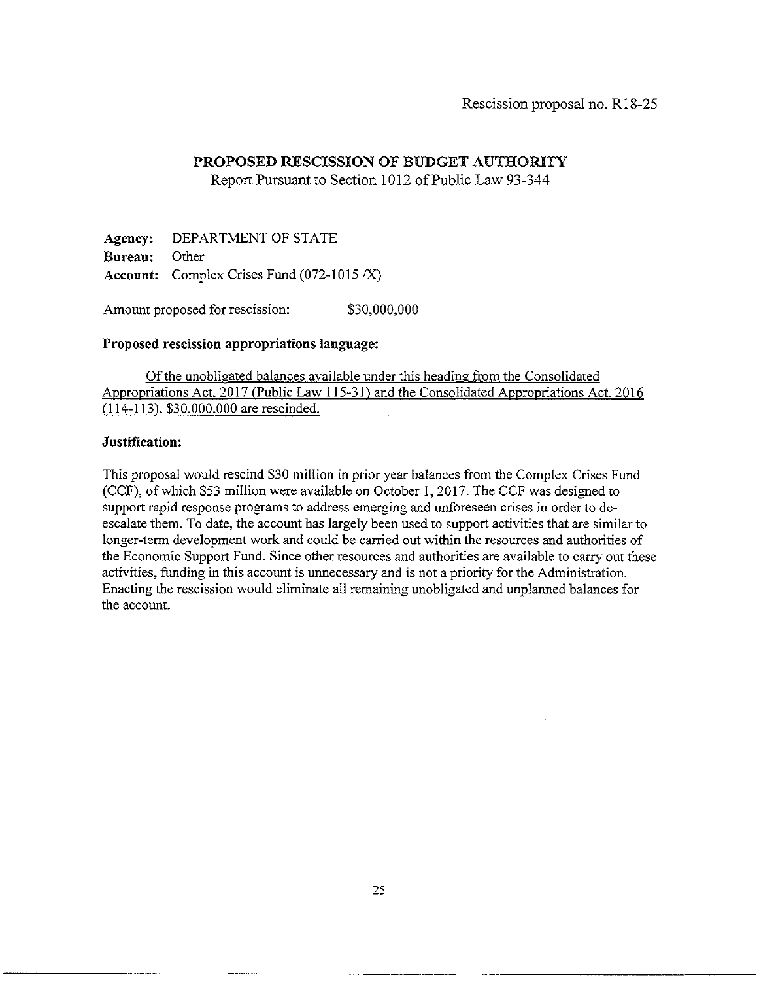# Report Pursuant to Section 1012 of Public Law 93-344

**Agency:** DEPARTMENT OF STATE **Bureau:** Other **Account:** Complex Crises Fund (072-1015 /X)

Amount proposed for rescission:  $$30,000,000$ 

# **Proposed rescission appropriations language:**

Of the unobligated balances available under this heading from the Consolidated Appropriations Act. 2017 (Public Law **l** 15-31) and the Consolidated Appropriations Act. 2016 (114-113). \$30.000.000 are rescinded.

# **Justification:**

This proposal would rescind \$30 million in prior year balances from the Complex Crises Fund (CCF), of which \$53 million were available on October 1, 2017. The CCF was designed to support rapid response programs to address emerging and unforeseen crises in order to deescalate them. To date, the account has largely been used to support activities that are similar to longer-term development work and could be carried out within the resources and authorities of the Economic Support Fund. Since other resources and authorities are available to carry out these activities, funding in this account is unnecessary and is not a priority for the Administration. Enacting the rescission would eliminate all remaining unobligated and unplanned balances for the account.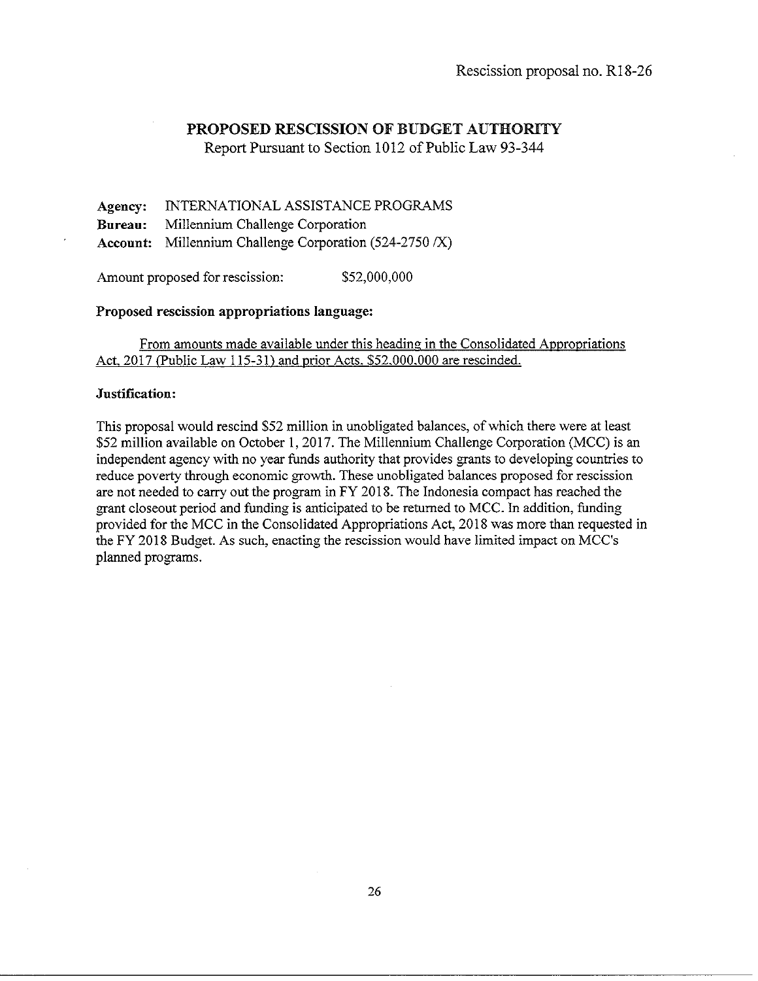Report Pursuant to Section 1012 of Public Law 93-344

**Agency: Bureau: Account:**  Millennium Challenge Corporation (524-2750 *fX)*  INTERNATIONAL ASSISTANCE PROGRAMS Millennium Challenge Corporation

Amount proposed for rescission: \$52,000,000

#### **Proposed rescission appropriations language:**

From amounts made available under this heading in the Consolidated Appropriations Act, 2017 (Public Law 115-31) and prior Acts. \$52,000,000 are rescinded.

#### **Justification:**

This proposal would rescind \$52 million in unobligated balances, of which there were at least \$52 million available on October **1,** 2017. The Millennium Challenge Corporation (MCC) is an independent agency with no year funds authority that provides grants to developing countries to reduce poverty through economic growth. These unobligated balances proposed for rescission are not needed to carry out the program in FY 2018. The Indonesia compact has reached the grant closeout period and funding is anticipated to be returned to MCC. In addition, funding provided for the MCC in the Consolidated Appropriations Act, 2018 was more than requested in the FY 2018 Budget. As such, enacting the rescission would have limited impact on MC C's planned programs.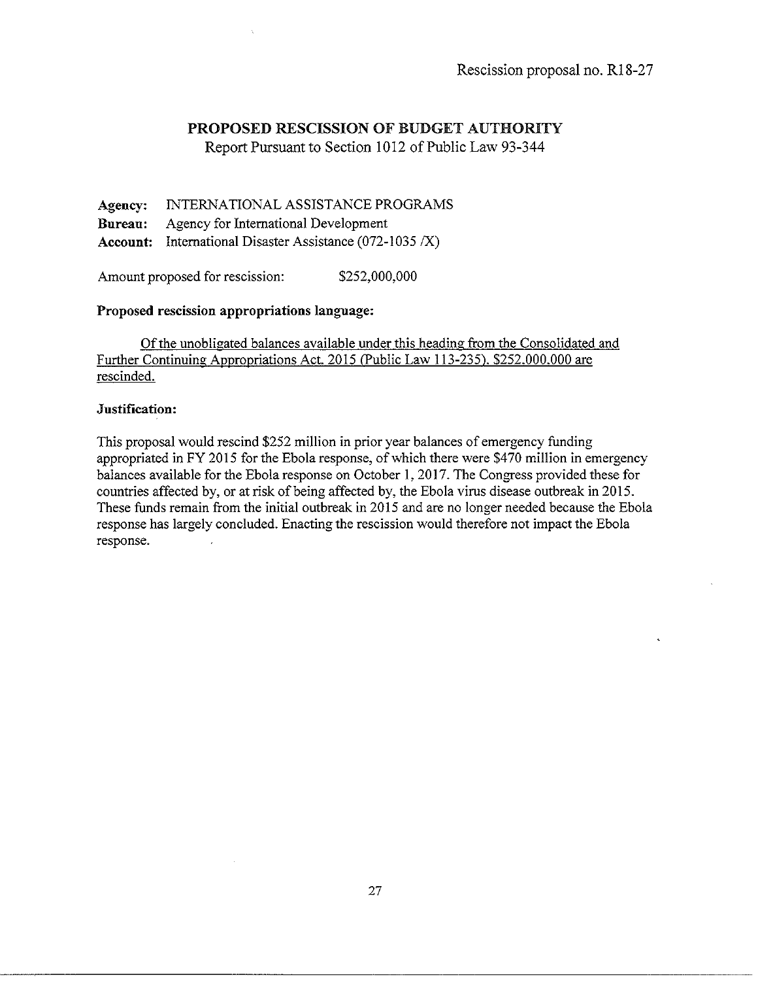Report Pursuant to Section 1012 of Public Law 93-344

**Agency:** INTERNATIONAL ASSISTANCE PROGRAMS **Bnrean:** Agency for International Development **Account:** International Disaster Assistance (072-1035 *IX)* 

Amount proposed for rescission: \$252,000,000

# **Proposed rescission appropriations language:**

Of the unobligated balances available under this heading from the Consolidated and Further Continuing Appropriations Act. 2015 (Public Law 113-235). \$252.000.000 are rescinded.

### **Justification:**

This proposal would rescind \$252 million in prior year balances of emergency funding appropriated in FY 2015 for the Ebola response, of which there were \$470 million in emergency balances available forthe Ebola response on October **1,** 2017. The Congress provided these for countries affected by, or at risk of being affected by, the Ebola virus disease outbreak in 2015. These funds remain from the initial outbreak in 2015 and are no longer needed because the Ebola response has largely concluded. Enacting the rescission would therefore not impact the Ebola response.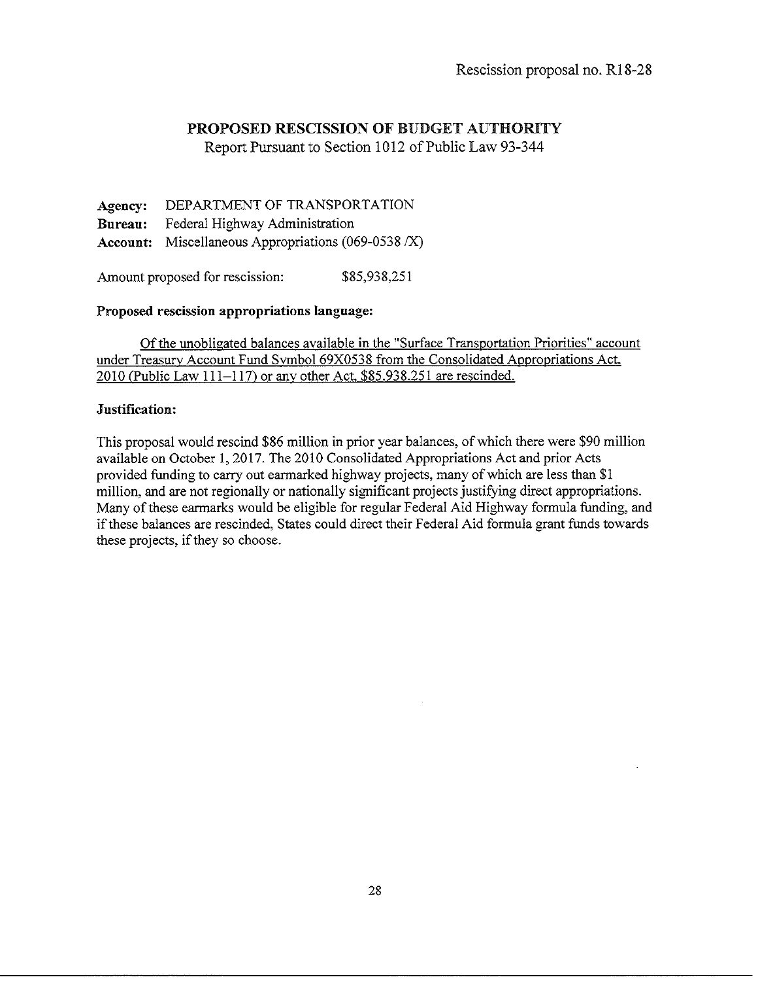Report Pursuant to Section 1012 of Public Law 93-344

**Agency: Bureau: Account:**  Miscellaneous Appropriations (069-0538 *IX)*  DEPARTMENT OF TRANSPORTATION Federal Highway Administration

Amount proposed for rescission:  $$85,938,251$ 

### **Proposed rescission appropriations language:**

Of the unobligated balances available in the "Surface Transportation Priorities" account under Treasury Account Fund Svmbol 69X0538 from the Consolidated Appropriations Act. 2010 (Public Law 111-117) or anv other Act. \$85.938.251 are rescinded.

# **Justification:**

This proposal would rescind \$86 million in prior year balances, of which there were \$90 million available on October **1,** 2017. The 2010 Consolidated Appropriations Act and prior Acts provided funding to carry out earmarked highway projects, many of which are less than \$1 million, and are not regionally or nationally significant projects justifying direct appropriations. Many of these earmarks would be eligible for regular Federal Aid Highway formula funding, and if these balances are rescinded, States could direct their Federal Aid formula grant funds towards these projects, if they so choose.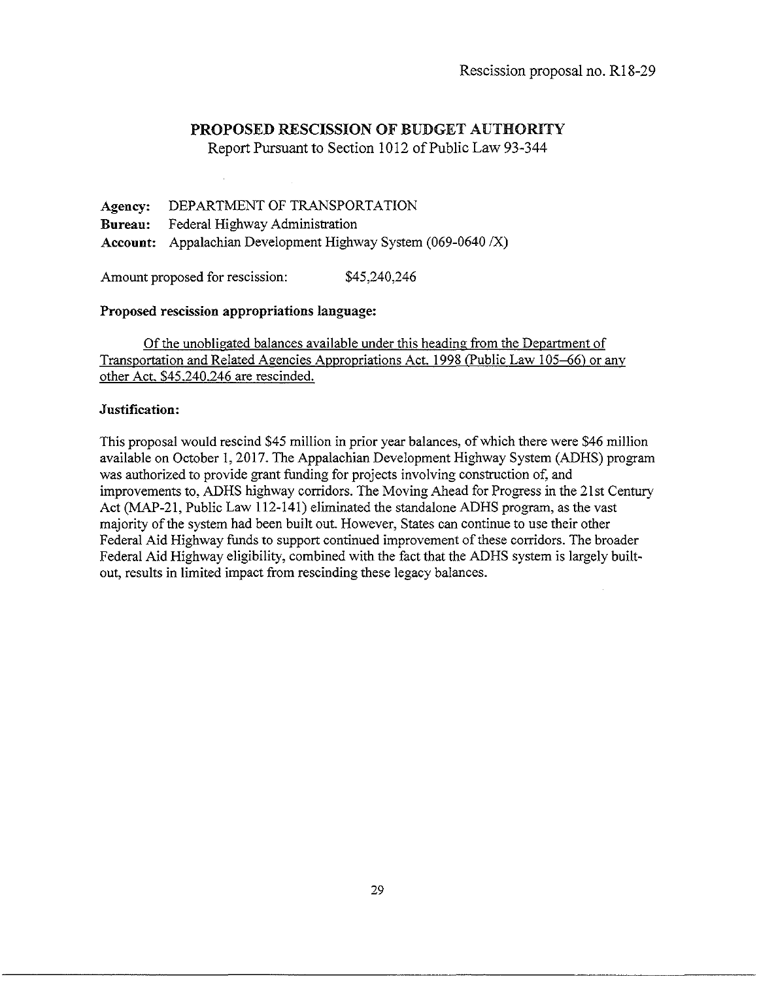Report Pursuant to Section 1012 of Public Law 93-344

Agency: DEPARTMENT OF TRANSPORTATION Bureau: Federal Highway Administration Account: Appalachian Development Highway System (069-0640 *IX)* 

Amount proposed for rescission:  $$45,240,246$ 

### Proposed rescission appropriations language:

Of the unobligated balances available under this heading from the Department of Transportation and Related Agencies Appropriations Act. 1998 (Public Law 105–66) or any other Act. \$45.240.246 are rescinded.

### Justification:

This proposal would rescind \$45 million in prior year balances, of which there were \$46 million available on October 1, 2017. The Appalachian Development Highway System (ADHS) program was authorized to provide grant funding for projects involving construction of, and improvements to, ADHS highway corridors. The Moving Ahead for Progress in the 21st Century Act (MAP-21, Public Law 112-141) eliminated the standalone ADHS program, as the vast majority of the system had been built out. However, States can continue to use their other Federal Aid Highway funds to support continued improvement of these corridors. The broader Federal Aid Highway eligibility, combined with the fact that the ADHS system is largely builtout, results in limited impact from rescinding these legacy balances.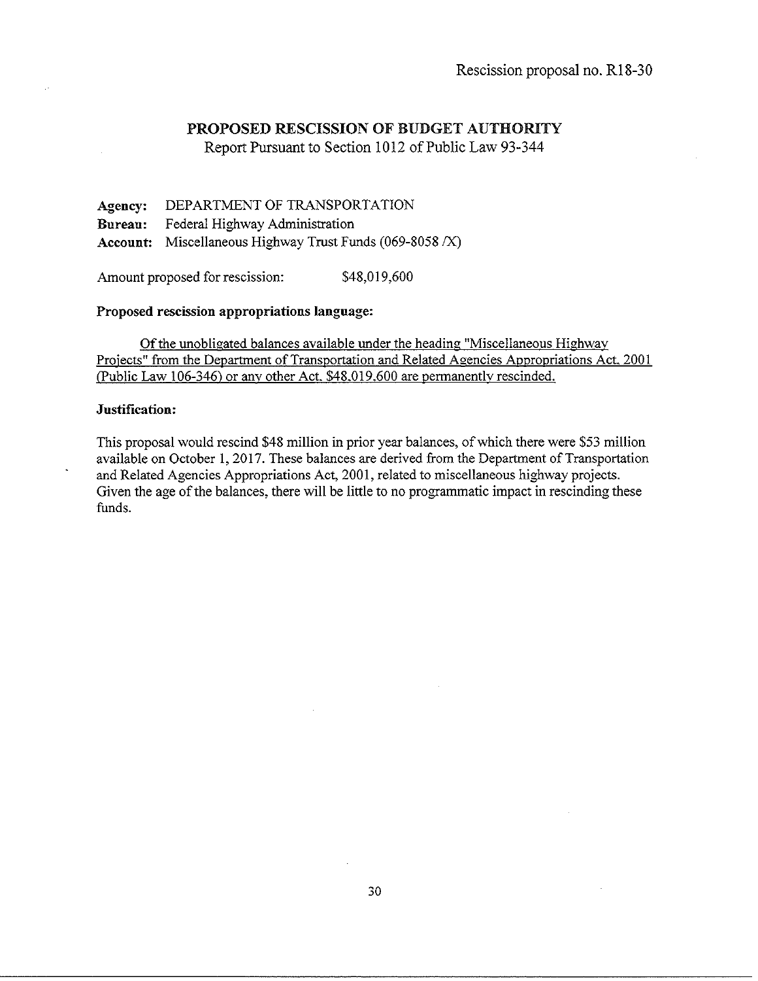Report Pursuant to Section 1012 of Public Law 93-344

Agency: DEPARTMENT OF TRANSPORTATION Bureau: Federal Highway Administration Account: Miscellaneous Highway Trust Funds (069-8058 /X)

Amount proposed for rescission: \$48,019,600

#### Proposed rescission appropriations language:

Of the unobligated balances available under the heading "Miscellaneous Highway Projects" from the Department of Transportation and Related Agencies Appropriations Act. 2001 (Public Law 106-346) or anv other Act. \$48.019.600 are permanentlv rescinded.

### Justification:

This proposal would rescind \$48 million in prior year balances, of which there were \$53 million available on October I, 2017. These balances are derived from the Department of Transportation and Related Agencies Appropriations Act, 2001, related to miscellaneous highway projects. Given the age of the balances, there will be little to no programmatic impact in rescinding these funds.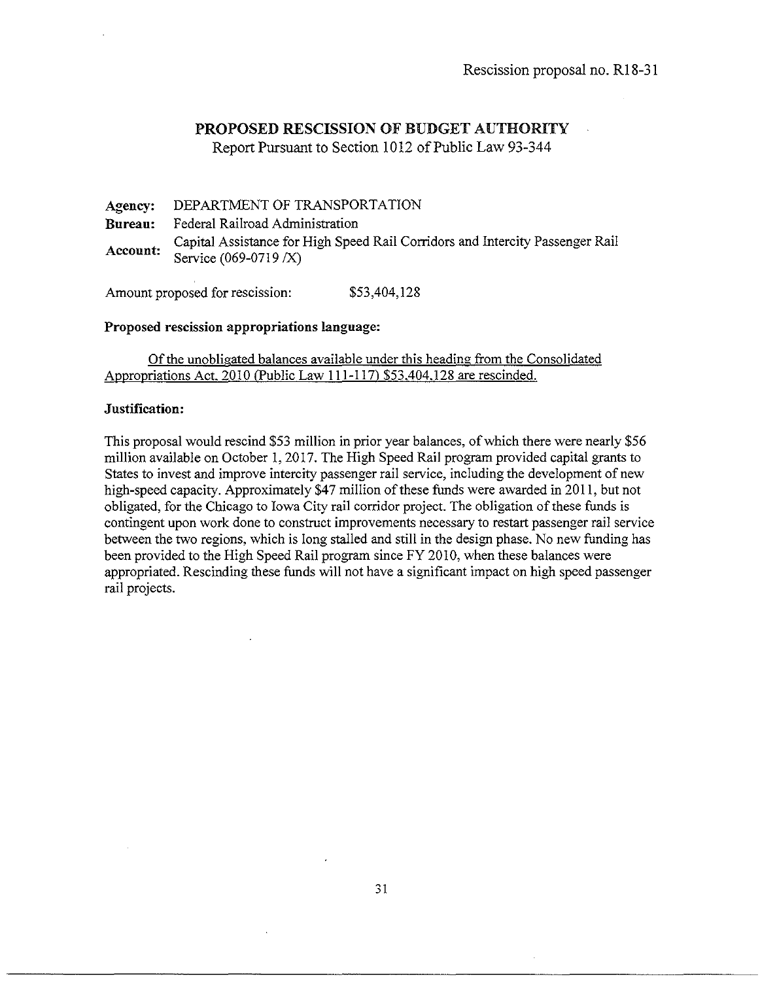Report Pursuant to Section 1012 of Public Law 93-344

**Agency: Bureau: Account:**  DEPARTMENT OF TRANSPORTATION Federal Railroad Administration Capital Assistance for High Speed Rail Corridors and Intercity Passenger Rail Service (069-0719 *IX)* 

Amount proposed for rescission: \$53,404,128

#### **Proposed rescission appropriations language:**

Of the unobligated balances available under this heading from the Consolidated Appropriations Act. 2010 (Public Law 111-117) \$53.404.128 are rescinded.

### **Justification:**

This proposal would rescind \$53 million in prior year balances, of which there were nearly \$56 million available on October 1, 2017. The High Speed Rail program provided capital grants to States to invest and improve intercity passenger rail service, including the development of new high-speed capacity. Approximately \$47 million of these funds were awarded in 2011, but not obligated, for the Chicago to Iowa City rail corridor project. The obligation of these funds is contingent upon work done to construct improvements necessary to restart passenger rail service between the two regions, which is Jong stalled and still in the design phase. No new funding has been provided to the High Speed Rail program since FY 2010, when these balances were appropriated. Rescinding these funds will not have a significant impact on high speed passenger rail projects.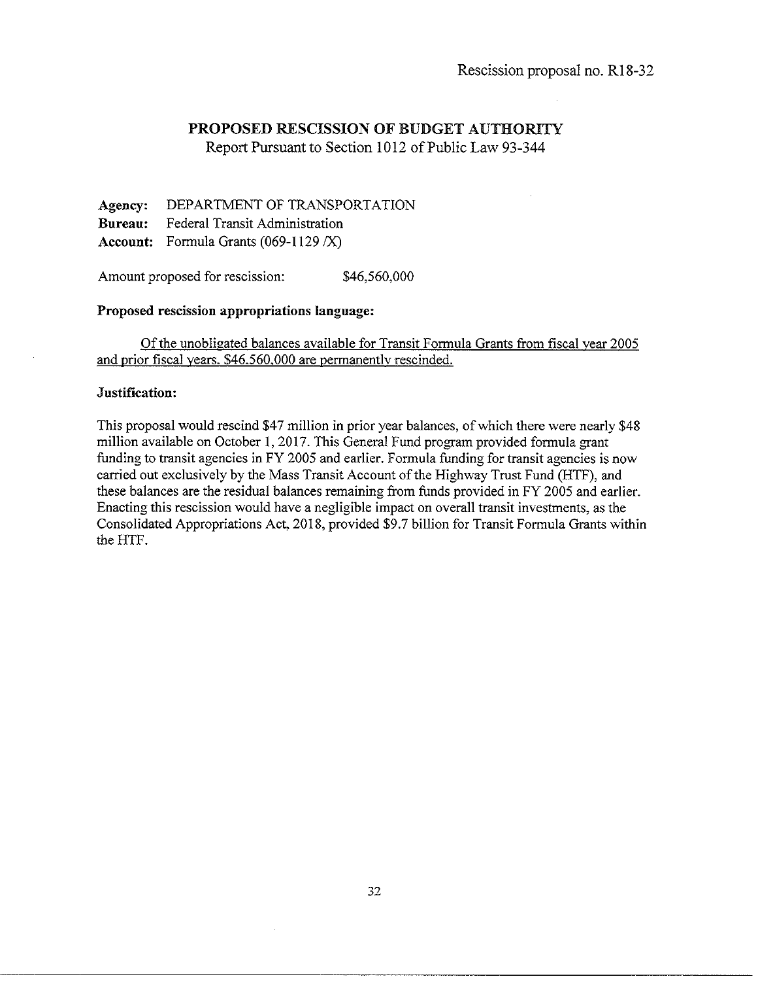Report Pursuant to Section 1012 of Public Law 93-344

**Agency:** DEPARTMENT OF TRANSPORTATION **Bureau:** Federal Transit Administration **Account:** Formula Grants (069-1129 /X)

Amount proposed for rescission: \$46,560,000

### **Proposed rescission appropriations language:**

Of the unobligated balances available for Transit Formula Grants from fiscal year 2005 and prior fiscal years. \$46.560.000 are permanentlv rescinded.

#### **Justification:**

This proposal would rescind \$47 million in prior year balances, of which there were nearly \$48 million available on October **1,** 2017. This General Fund program provided formula grant funding to transit agencies in FY 2005 and earlier. Formula funding for transit agencies is now carried out exclusively by the Mass Transit Account of the Highway Trust Fund (HTF), and these balances are the residual balances remaining from funds provided in FY 2005 and earlier. Enacting this rescission would have a negligible impact on overall transit investments, as the Consolidated Appropriations Act, 2018, provided \$9.7 billion for Transit Formula Grants within the HTF.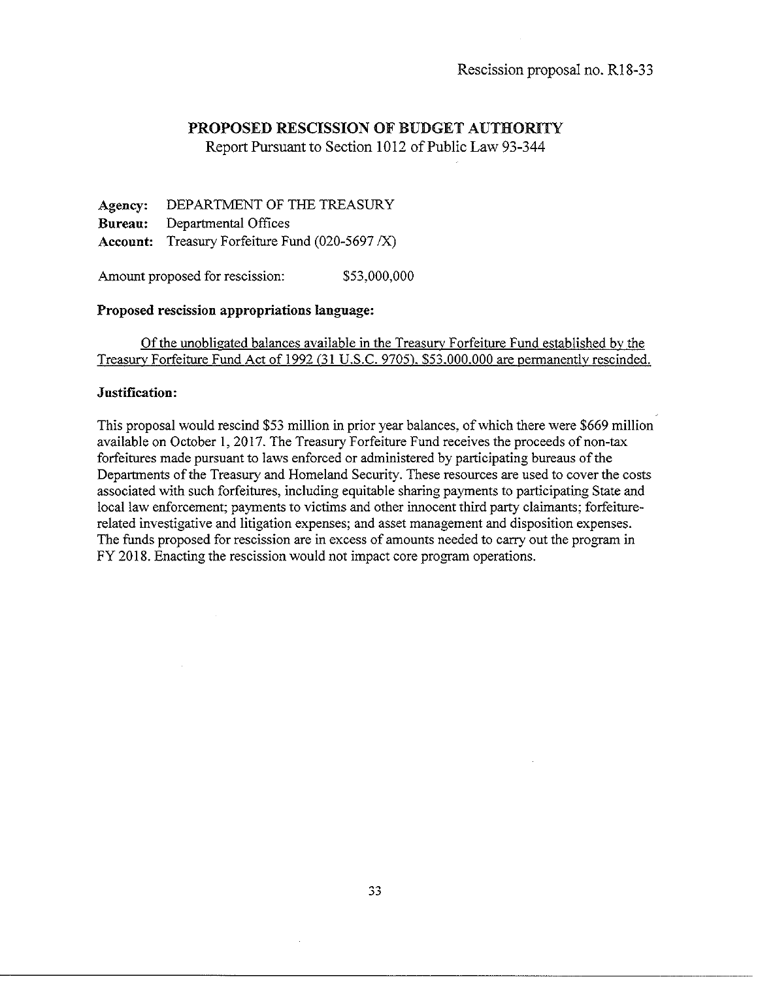Report Pursuant to Section 1012 of Public Law 93-344

**Agency:** DEPARTMENT OF THE TREASURY **Bureau:** Departmental Offices **Account:** Treasury Forfeiture Fund (020-5697 *IX)* 

Amount proposed for rescission:  $$53,000,000$ 

### **Proposed rescission appropriations language:**

Of the unobligated balances available in the Treasury Forfeiture Fund established by the Treasurv Forfeiture Fund Act of 1992 (31 U.S.C. 9705). \$53.000.000 are permanently rescinded.

#### **Justification:**

This proposal would rescind \$53 million in prior year balances, of which there were \$669 million available on October **1,** 2017. The Treasury Forfeiture Fund receives the proceeds of non-tax forfeitures made pursuant to laws enforced or administered by participating bureaus of the Departments of the Treasury and Homeland Security. These resources are used to cover the costs associated with such forfeitures, including equitable sharing payments to participating State and local law enforcement; payments to victims and other innocent third party claimants; forfeiturerelated investigative and litigation expenses; and asset management and disposition expenses. The funds proposed for rescission are in excess of amounts needed to carry out the program in FY 2018. Enacting the rescission would not impact core program operations.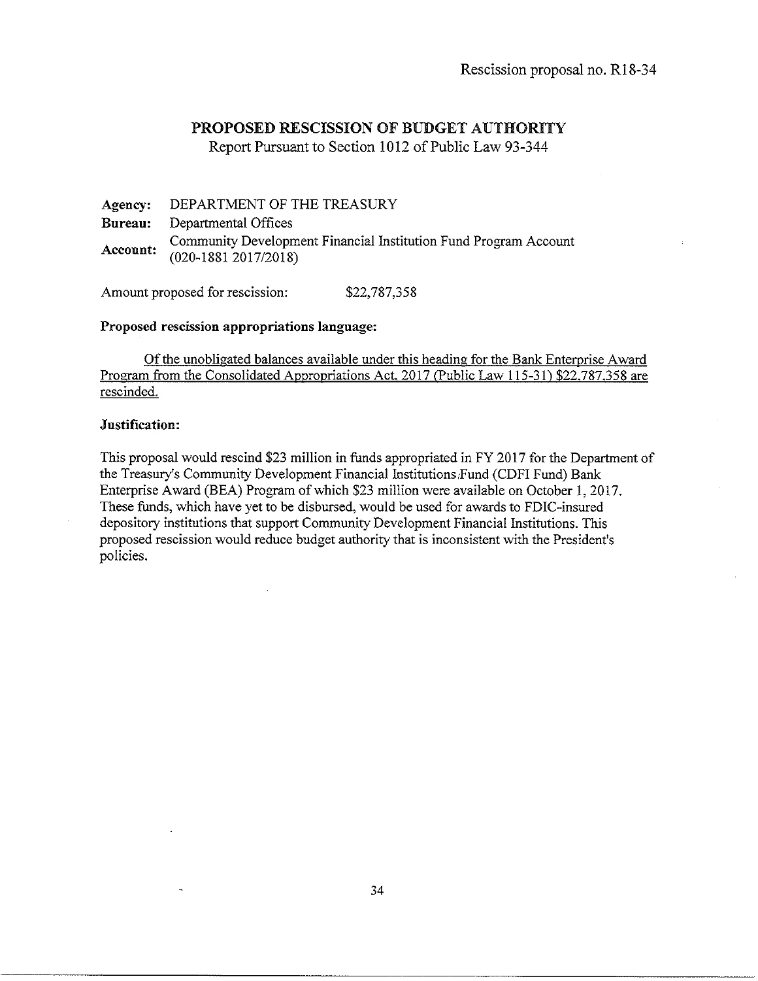Report Pursuant to Section 1012 of Public Law 93-344

**Agency: Bureau: Account:**  DEPARTMENT OF THE TREASURY Departmental Offices Community Development Financial Institution Fund Program Account (020-1881 2017/2018)

Amount proposed for rescission: \$22,787,358

#### **Proposed rescission appropriations language:**

Of the unobligated balances available under this heading for the Bank Enterprise Award Program from the Consolidated Appropriations Act. 2017 (Public Law 115-31) \$22.787.358 are rescinded.

### **Justification:**

This proposal would rescind \$23 million in funds appropriated in FY 2017 for the Department of the Treasury's Community Development Financial Institutions Fund (CDFI Fund) Bank Enterprise Award (BEA) Program of which \$23 million were available on October 1, 2017. These funds, which have yet to be disbursed, would be used for awards to FDIC-insured depository institutions that support Community Development Financial Institutions. This proposed rescission would reduce budget authority that is inconsistent with the President's policies.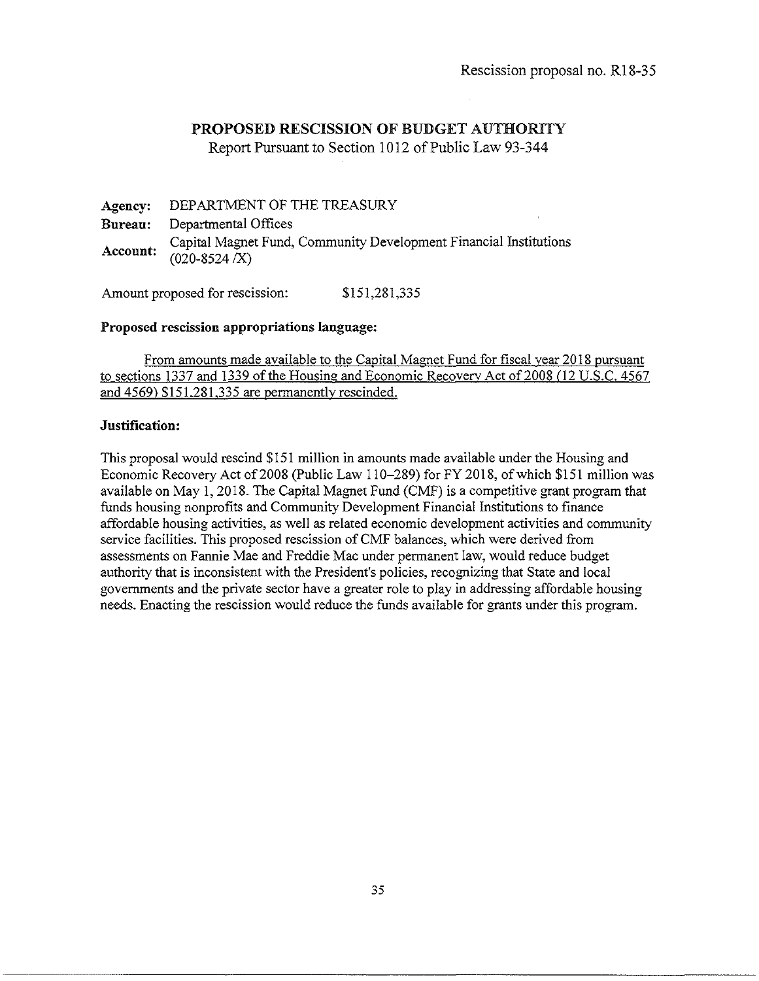Report Pursuant to Section 1012 of Public Law 93-344

**Agency: Bureau: Account:**  DEPARTMENT OF THE TREASURY Departmental Offices Capital Magnet Fund, Community Development Financial Institutions  $(020 - 8524)$   $(X)$ 

Amount proposed for rescission: \$151,281,335

### **Proposed rescission appropriations language:**

From amounts made available to the Capital Magnet Fund for fiscal year 2018 pursuant to sections 1337 and 1339 of the Housing and Economic Recoverv Act of2008 (12 U.S.C. 4567 and 4569) \$151.281.335 are permanently rescinded.

### **Justification:**

This proposal would rescind \$151 million in amounts made available under the Housing and Economic Recovery Act of 2008 (Public Law 110-289) for FY 2018, of which \$151 million was available on May I, 2018. The Capital Magnet Fund (CMF) is a competitive grant program that funds housing nonprofits and Community Development Financial Institutions to finance affordable housing activities, as well as related economic development activities and community service facilities. This proposed rescission of CMF balances, which were derived from assessments on Fannie Mae and Freddie Mac under permanent law, would reduce budget authority that is inconsistent with the President's policies, recognizing that State and local governments and the private sector have a greater role to play in addressing affordable housing needs. Enacting the rescission would reduce the funds available for grants under this program.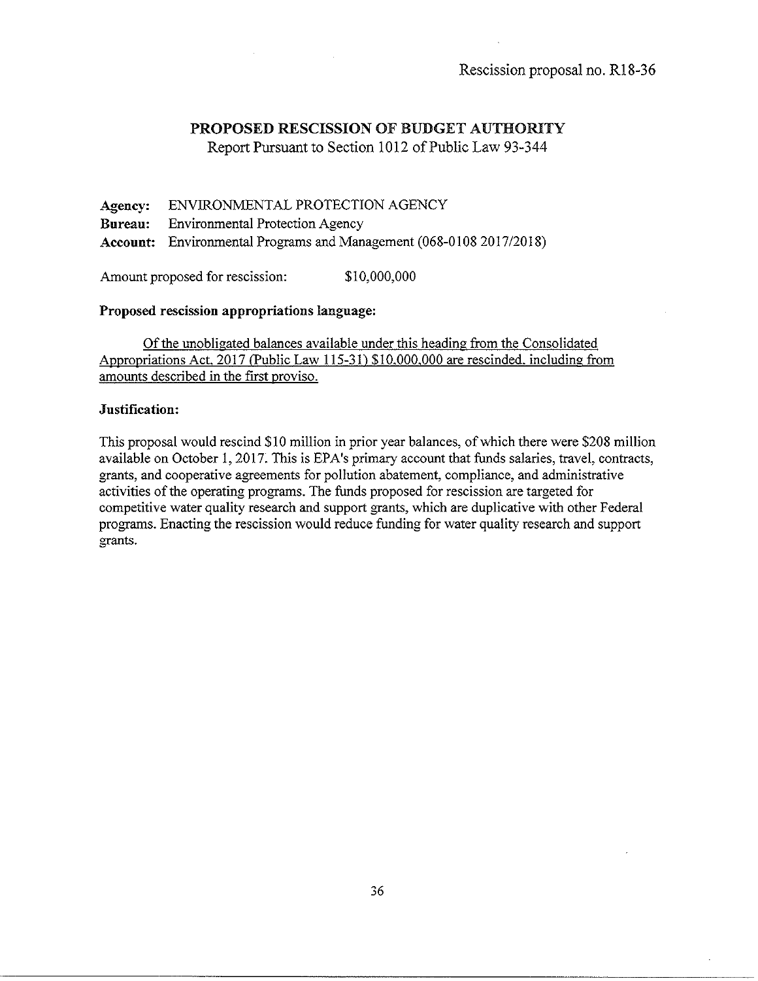Report Pursuant to Section 1012 of Public Law 93-344

Agency: ENVIRONMENTAL PROTECTION AGENCY Bureau: Environmental Protection Agency Account: Environmental Programs and Management (068-0108 2017/2018)

Amount proposed for rescission: \$10,000,000

### Proposed rescission appropriations language:

Of the unobligated balances available under this heading from the Consolidated Appropriations Act. 2017 (Public Law 115-31) \$10.000.000 are rescinded. including from amounts described in the first proviso.

### Justification:

This proposal would rescind \$10 million in prior year balances, of which there were \$208 million available on October 1, 2017. This is EPA's primary account that funds salaries, travel, contracts, grants, and cooperative agreements for pollution abatement, compliance, and administrative activities of the operating programs. The funds proposed for rescission are targeted for competitive water quality research and support grants, which are duplicative with other Federal programs. Enacting the rescission would reduce funding for water quality research and support grants.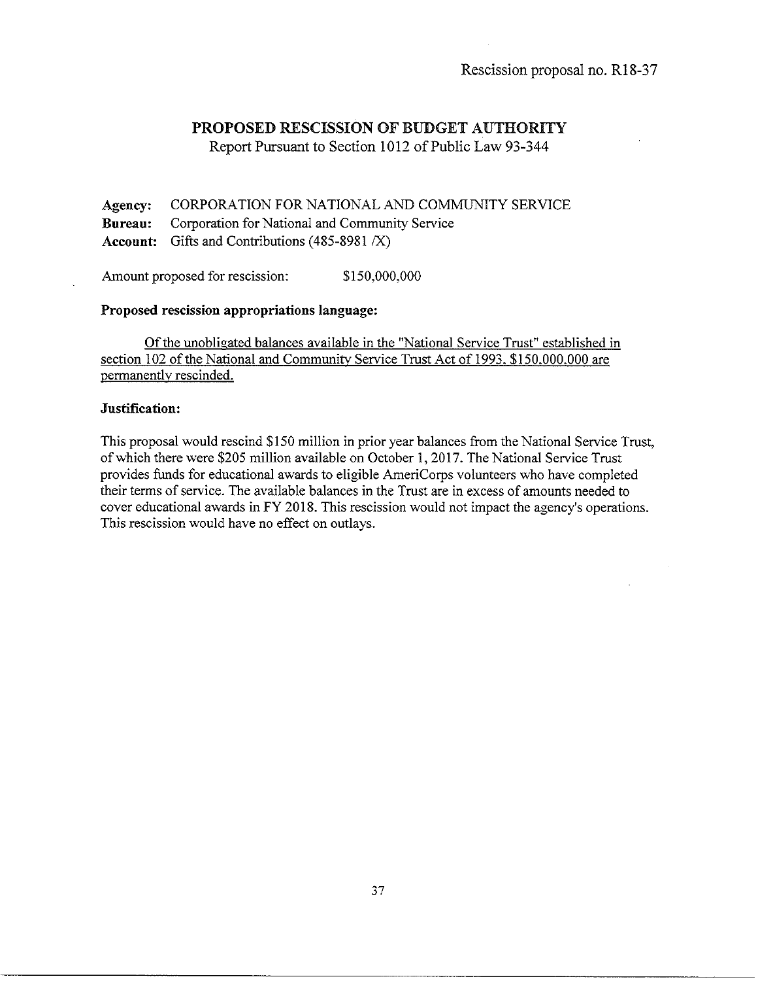Report Pursuant to Section 1012 of Public Law 93-344

**Agency:** CORPORATION FOR NATIONAL AND COMMUNITY SERVICE **Bureau:** Corporation for National and Community Service Account: Gifts and Contributions (485-8981 /X)

Amount proposed for rescission: \$150,000,000

# **Proposed rescission appropriations language:**

Of the unobligated balances available in the "National Service Trust" established in section 102 of the National and Communitv Service Trust Act of 1993. \$150.000.000 are permanently rescinded.

### **Justification:**

This proposal would rescind \$150 million in prior year balances from the National Service Trust, of which there were \$205 million available on October I, 2017. The National Service Trust provides funds for educational awards to eligible AmeriCorps volunteers who have completed their terms of service. The available balances in the Trust are in excess of amounts needed to cover educational awards in FY 2018. This rescission would not impact the agency's operations. This rescission would have no effect on outlays.